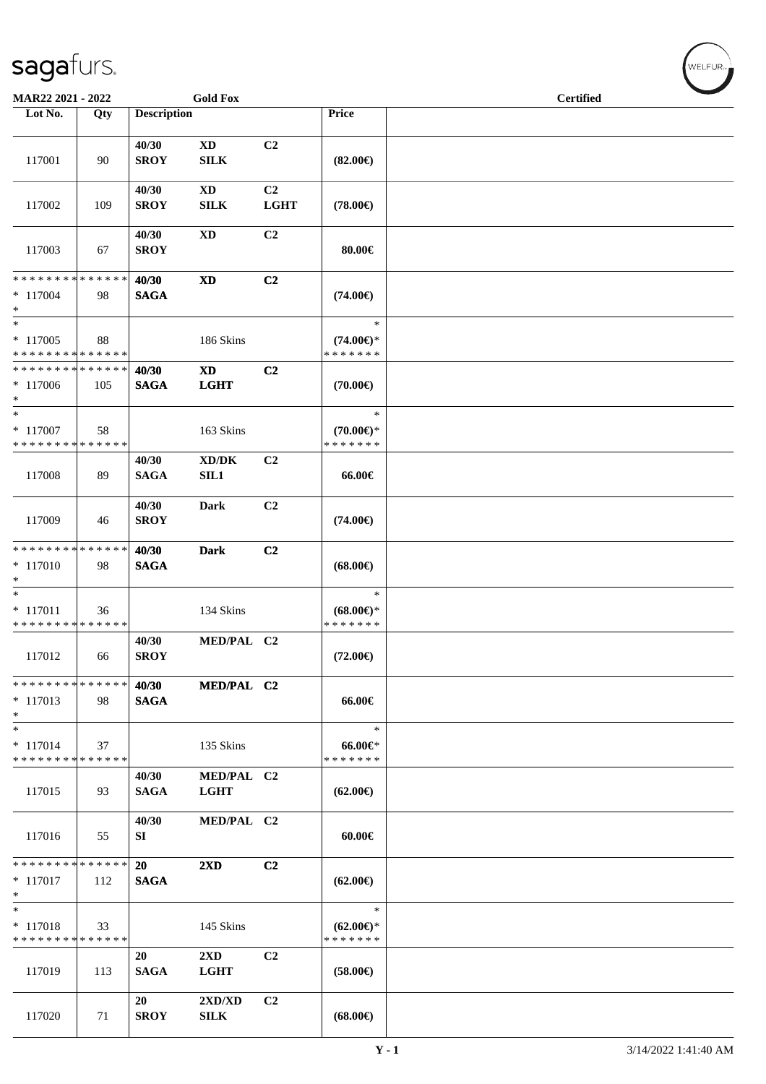| MAR22 2021 - 2022                                   |     |                      | <b>Gold Fox</b>                        |                   |                                                | <b>Certified</b> |  |
|-----------------------------------------------------|-----|----------------------|----------------------------------------|-------------------|------------------------------------------------|------------------|--|
| Lot No.                                             | Qty | <b>Description</b>   |                                        |                   | Price                                          |                  |  |
| 117001                                              | 90  | 40/30<br><b>SROY</b> | $\mathbf{X}\mathbf{D}$<br>${\bf SILK}$ | C <sub>2</sub>    | $(82.00\epsilon)$                              |                  |  |
| 117002                                              | 109 | 40/30<br><b>SROY</b> | $\mathbf{X}\mathbf{D}$<br>SILK         | C2<br><b>LGHT</b> | $(78.00\epsilon)$                              |                  |  |
| 117003                                              | 67  | 40/30<br><b>SROY</b> | <b>XD</b>                              | C2                | 80.00€                                         |                  |  |
| * * * * * * * * * * * * * *<br>$* 117004$<br>$*$    | 98  | 40/30<br><b>SAGA</b> | $\mathbf{X}\mathbf{D}$                 | C <sub>2</sub>    | $(74.00\epsilon)$                              |                  |  |
| $*$<br>$*117005$<br>* * * * * * * * * * * * * *     | 88  |                      | 186 Skins                              |                   | $\ast$<br>$(74.00\epsilon)$ *<br>* * * * * * * |                  |  |
| * * * * * * * * * * * * * *<br>$*117006$<br>$*$     | 105 | 40/30<br><b>SAGA</b> | $\mathbf{X}\mathbf{D}$<br><b>LGHT</b>  | C2                | $(70.00\epsilon)$                              |                  |  |
| $*$<br>$* 117007$<br>* * * * * * * * * * * * * *    | 58  |                      | 163 Skins                              |                   | $\ast$<br>$(70.00\epsilon)$ *<br>* * * * * * * |                  |  |
| 117008                                              | 89  | 40/30<br><b>SAGA</b> | XD/DK<br>SL1                           | C <sub>2</sub>    | 66.00€                                         |                  |  |
| 117009                                              | 46  | 40/30<br><b>SROY</b> | Dark                                   | C2                | $(74.00\epsilon)$                              |                  |  |
| * * * * * * * * * * * * * *<br>$* 117010$<br>$\ast$ | 98  | 40/30<br><b>SAGA</b> | <b>Dark</b>                            | C <sub>2</sub>    | $(68.00\epsilon)$                              |                  |  |
| $*$<br>$* 117011$<br>* * * * * * * * * * * * * *    | 36  |                      | 134 Skins                              |                   | $\ast$<br>$(68.00\epsilon)$ *<br>* * * * * * * |                  |  |
| 117012                                              | 66  | 40/30<br><b>SROY</b> | MED/PAL C2                             |                   | $(72.00\epsilon)$                              |                  |  |
| * * * * * * * * * * * * * *<br>$*117013$<br>$\ast$  | 98  | 40/30<br><b>SAGA</b> | MED/PAL C2                             |                   | 66.00€                                         |                  |  |
| $\ast$<br>$* 117014$<br>* * * * * * * * * * * * * * | 37  |                      | 135 Skins                              |                   | $\ast$<br>$66.00 \text{e}$<br>* * * * * * *    |                  |  |
| 117015                                              | 93  | 40/30<br><b>SAGA</b> | MED/PAL C2<br><b>LGHT</b>              |                   | $(62.00\epsilon)$                              |                  |  |
| 117016                                              | 55  | 40/30<br>SI          | MED/PAL C2                             |                   | $60.00 \in$                                    |                  |  |
| * * * * * * * * * * * * * *<br>$*117017$<br>$\ast$  | 112 | 20<br><b>SAGA</b>    | 2XD                                    | C <sub>2</sub>    | $(62.00\epsilon)$                              |                  |  |
| $\ast$<br>$* 117018$<br>* * * * * * * * * * * * * * | 33  |                      | 145 Skins                              |                   | $\ast$<br>$(62.00\epsilon)$ *<br>* * * * * * * |                  |  |
| 117019                                              | 113 | 20<br><b>SAGA</b>    | $2\mathbf{X}\mathbf{D}$<br><b>LGHT</b> | C <sub>2</sub>    | $(58.00\epsilon)$                              |                  |  |
| 117020                                              | 71  | 20<br><b>SROY</b>    | 2XD/XD<br>SILK                         | C2                | $(68.00\epsilon)$                              |                  |  |

**Y - 1** 3/14/2022 1:41:40 AM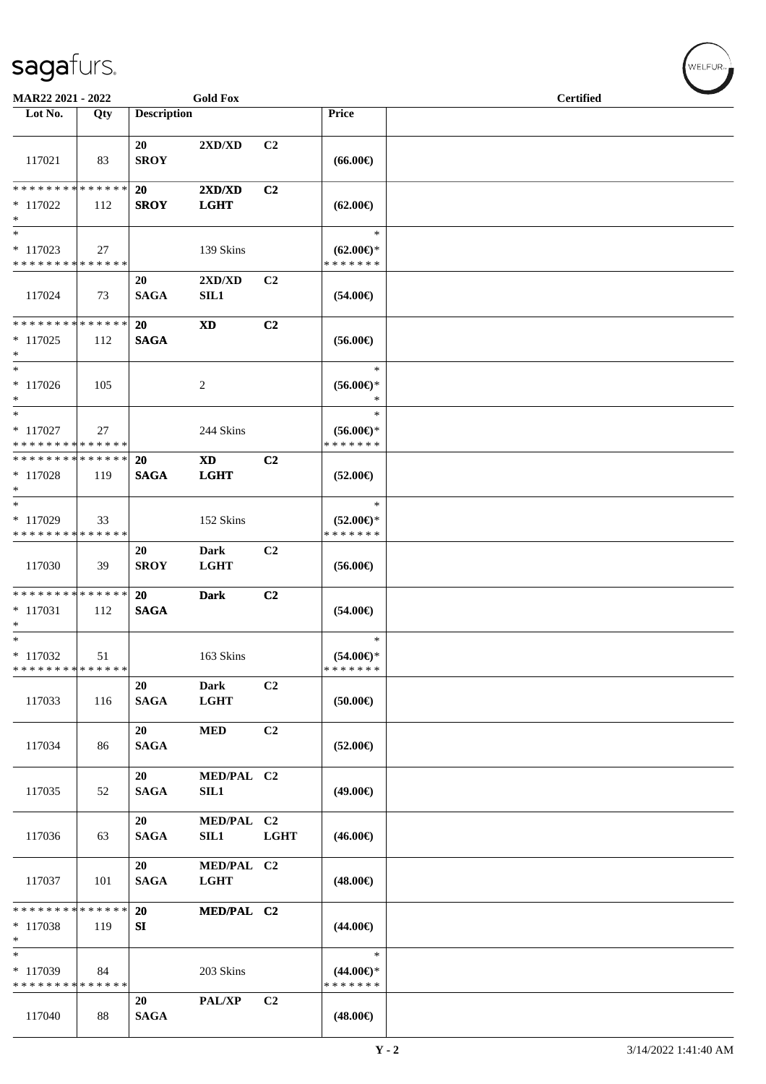| <b>Gold Fox</b><br>MAR22 2021 - 2022     |     |                    |             |                |                                      | <b>Certified</b> |  |
|------------------------------------------|-----|--------------------|-------------|----------------|--------------------------------------|------------------|--|
| Lot No.                                  | Qty | <b>Description</b> |             |                | Price                                |                  |  |
|                                          |     |                    |             |                |                                      |                  |  |
|                                          |     | 20                 | 2XD/XD      | C <sub>2</sub> |                                      |                  |  |
| 117021                                   | 83  | <b>SROY</b>        |             |                | $(66.00\epsilon)$                    |                  |  |
|                                          |     |                    |             |                |                                      |                  |  |
| * * * * * * * * * * * * * *              |     | 20                 | 2XD/XD      | C <sub>2</sub> |                                      |                  |  |
| * 117022                                 | 112 | <b>SROY</b>        | <b>LGHT</b> |                | $(62.00\epsilon)$                    |                  |  |
| $*$                                      |     |                    |             |                |                                      |                  |  |
| $*$                                      |     |                    |             |                | $\ast$                               |                  |  |
|                                          |     |                    |             |                |                                      |                  |  |
| $*117023$<br>* * * * * * * * * * * * * * | 27  |                    | 139 Skins   |                | $(62.00\epsilon)$ *<br>* * * * * * * |                  |  |
|                                          |     |                    |             |                |                                      |                  |  |
|                                          |     | 20                 | 2XD/XD      | C <sub>2</sub> |                                      |                  |  |
| 117024                                   | 73  | <b>SAGA</b>        | <b>SIL1</b> |                | $(54.00\epsilon)$                    |                  |  |
| * * * * * * * * * * * * * * *            |     |                    |             |                |                                      |                  |  |
|                                          |     | 20                 | <b>XD</b>   | C <sub>2</sub> |                                      |                  |  |
| $*$ 117025                               | 112 | <b>SAGA</b>        |             |                | $(56.00\epsilon)$                    |                  |  |
| $*$                                      |     |                    |             |                |                                      |                  |  |
| $*$                                      |     |                    |             |                | $\ast$                               |                  |  |
| $*117026$                                | 105 |                    | 2           |                | $(56.00ε)$ *                         |                  |  |
| $*$                                      |     |                    |             |                | $\ast$                               |                  |  |
| $\overline{\ }$                          |     |                    |             |                | $\ast$                               |                  |  |
| $*117027$                                | 27  |                    | 244 Skins   |                | $(56.00\epsilon)$ *                  |                  |  |
| * * * * * * * * * * * * * *              |     |                    |             |                | * * * * * * *                        |                  |  |
| * * * * * * * * * * * * * * *            |     | 20                 | <b>XD</b>   | C <sub>2</sub> |                                      |                  |  |
| * 117028                                 | 119 | <b>SAGA</b>        | <b>LGHT</b> |                | $(52.00\epsilon)$                    |                  |  |
| $*$                                      |     |                    |             |                |                                      |                  |  |
| $\overline{\ast}$                        |     |                    |             |                | $\ast$                               |                  |  |
| * 117029                                 | 33  |                    | 152 Skins   |                | $(52.00\epsilon)$ *                  |                  |  |
| * * * * * * * * * * * * * *              |     |                    |             |                | * * * * * * *                        |                  |  |
|                                          |     | 20                 | <b>Dark</b> | C <sub>2</sub> |                                      |                  |  |
| 117030                                   | 39  | <b>SROY</b>        | <b>LGHT</b> |                | $(56.00\epsilon)$                    |                  |  |
|                                          |     |                    |             |                |                                      |                  |  |
| * * * * * * * * * * * * * *              |     | 20                 | <b>Dark</b> | C <sub>2</sub> |                                      |                  |  |
| $* 117031$                               | 112 | <b>SAGA</b>        |             |                | $(54.00\epsilon)$                    |                  |  |
| $*$                                      |     |                    |             |                |                                      |                  |  |
| $*$                                      |     |                    |             |                | $\ast$                               |                  |  |
| $* 117032$                               | 51  |                    | 163 Skins   |                | $(54.00ε)$ *                         |                  |  |
| * * * * * * * * * * * * * *              |     |                    |             |                | * * * * * * *                        |                  |  |
|                                          |     | 20                 | <b>Dark</b> | C <sub>2</sub> |                                      |                  |  |
| 117033                                   | 116 | <b>SAGA</b>        | <b>LGHT</b> |                | (50.00)                              |                  |  |
|                                          |     |                    |             |                |                                      |                  |  |
|                                          |     | 20                 | <b>MED</b>  | C2             |                                      |                  |  |
| 117034                                   | 86  | <b>SAGA</b>        |             |                | $(52.00\epsilon)$                    |                  |  |
|                                          |     |                    |             |                |                                      |                  |  |
|                                          |     | 20                 | MED/PAL C2  |                |                                      |                  |  |
| 117035                                   | 52  | <b>SAGA</b>        | <b>SIL1</b> |                | $(49.00\epsilon)$                    |                  |  |
|                                          |     |                    |             |                |                                      |                  |  |
|                                          |     | 20                 | MED/PAL C2  |                |                                      |                  |  |
| 117036                                   | 63  | <b>SAGA</b>        | SIL1        | <b>LGHT</b>    | $(46.00\epsilon)$                    |                  |  |
|                                          |     |                    |             |                |                                      |                  |  |
|                                          |     | 20                 | MED/PAL C2  |                |                                      |                  |  |
| 117037                                   | 101 | <b>SAGA</b>        | <b>LGHT</b> |                | $(48.00\epsilon)$                    |                  |  |
|                                          |     |                    |             |                |                                      |                  |  |
| * * * * * * * * * * * * * *              |     | 20                 | MED/PAL C2  |                |                                      |                  |  |
| $* 117038$                               | 119 | SI                 |             |                | $(44.00\epsilon)$                    |                  |  |
| $*$                                      |     |                    |             |                |                                      |                  |  |
| $\ast$                                   |     |                    |             |                | $\ast$                               |                  |  |
| * 117039                                 | 84  |                    | 203 Skins   |                | $(44.00\epsilon)$ *                  |                  |  |
| * * * * * * * * * * * * * *              |     |                    |             |                | * * * * * * *                        |                  |  |
|                                          |     | 20                 | PAL/XP      | C2             |                                      |                  |  |
| 117040                                   | 88  | <b>SAGA</b>        |             |                | $(48.00\epsilon)$                    |                  |  |
|                                          |     |                    |             |                |                                      |                  |  |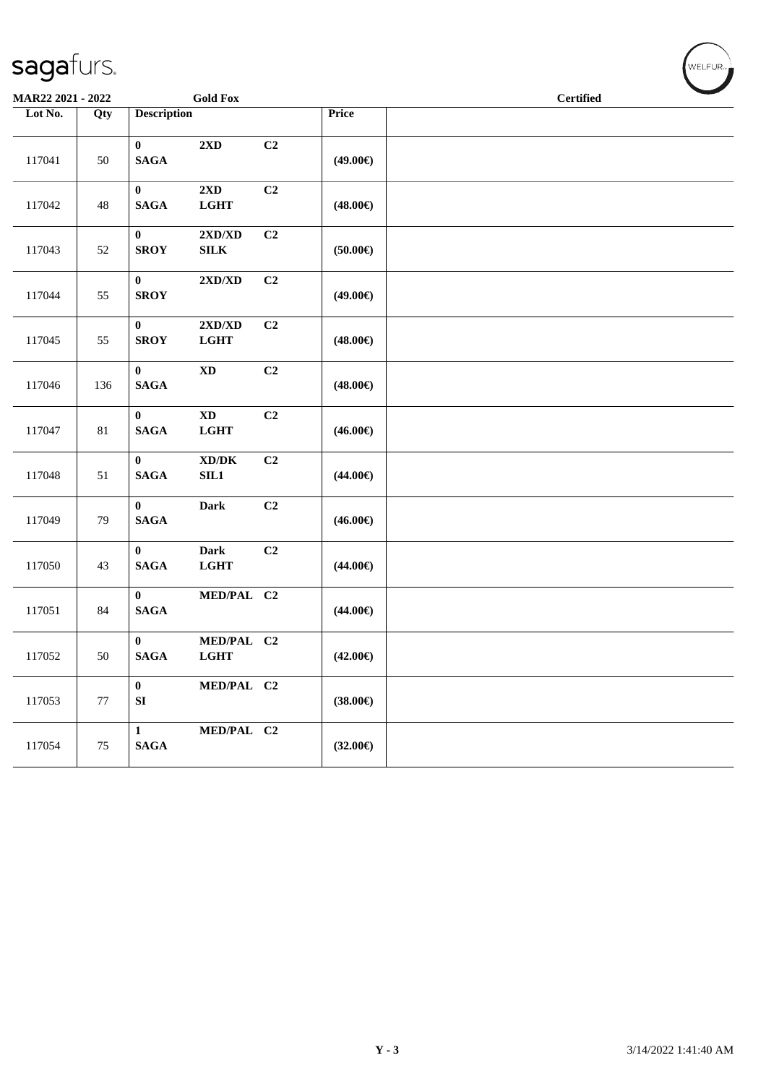| MAR22 2021 - 2022 |        | <b>Gold Fox</b>                                                                      |                   | $\sim$<br><b>Certified</b> |
|-------------------|--------|--------------------------------------------------------------------------------------|-------------------|----------------------------|
| Lot No.           | Qty    | <b>Description</b>                                                                   | Price             |                            |
|                   |        |                                                                                      |                   |                            |
| 117041            | 50     | $\bf{0}$<br>C2<br>2XD<br>$\mathbf{SAGA}$                                             | $(49.00\epsilon)$ |                            |
| 117042            | 48     | $2{\bf X}{\bf D}$<br>C2<br>$\boldsymbol{0}$<br>$\mathbf{SAGA}$<br>$_{\rm LGHT}$      | $(48.00\epsilon)$ |                            |
| 117043            | 52     | C2<br>$\bf{0}$<br>$2{\bf X}{\bf D}/{\bf X}{\bf D}$<br><b>SROY</b><br>${\bf SILK}$    | $(50.00\epsilon)$ |                            |
| 117044            | 55     | $\bf{0}$<br>C2<br>$2{\bf X}{\bf D}/{\bf X}{\bf D}$<br><b>SROY</b>                    | $(49.00\epsilon)$ |                            |
| 117045            | 55     | C2<br>$\bf{0}$<br>$2{\bf X}{\bf D}/{\bf X}{\bf D}$<br><b>SROY</b><br>LGHT            | $(48.00\epsilon)$ |                            |
| 117046            | 136    | C2<br>$\bf{0}$<br>$\mathbf{X}\mathbf{D}$<br><b>SAGA</b>                              | $(48.00\epsilon)$ |                            |
| 117047            | $81\,$ | $\mathbf{X}\mathbf{D}$<br>C <sub>2</sub><br>$\bf{0}$<br><b>SAGA</b><br>$_{\rm LGHT}$ | $(46.00\epsilon)$ |                            |
| 117048            | 51     | $\bf{0}$<br>$\bold{X}\bold{D}/\bold{D}\bold{K}$<br>C2<br><b>SAGA</b><br>SIL1         | $(44.00\epsilon)$ |                            |
| 117049            | 79     | $\bf{0}$<br>Dark<br>C2<br>$\mathbf{SAGA}$                                            | $(46.00\epsilon)$ |                            |
| 117050            | 43     | $\mathbf{0}$<br><b>Dark</b><br>C2<br>$\mathbf{SAGA}$<br><b>LGHT</b>                  | $(44.00\epsilon)$ |                            |
| 117051            | 84     | $\bf{0}$<br>MED/PAL C2<br><b>SAGA</b>                                                | $(44.00\epsilon)$ |                            |
| 117052            | 50     | $\bf{0}$<br>MED/PAL C2<br><b>SAGA</b><br>$_{\rm LGHT}$                               | $(42.00\epsilon)$ |                            |
| 117053            | $77\,$ | $\pmb{0}$<br>MED/PAL C2<br>${\bf SI}$                                                | $(38.00\epsilon)$ |                            |
| 117054            | $75\,$ | MED/PAL C2<br>$\mathbf 1$<br>$\mathbf{SAGA}$                                         | $(32.00\epsilon)$ |                            |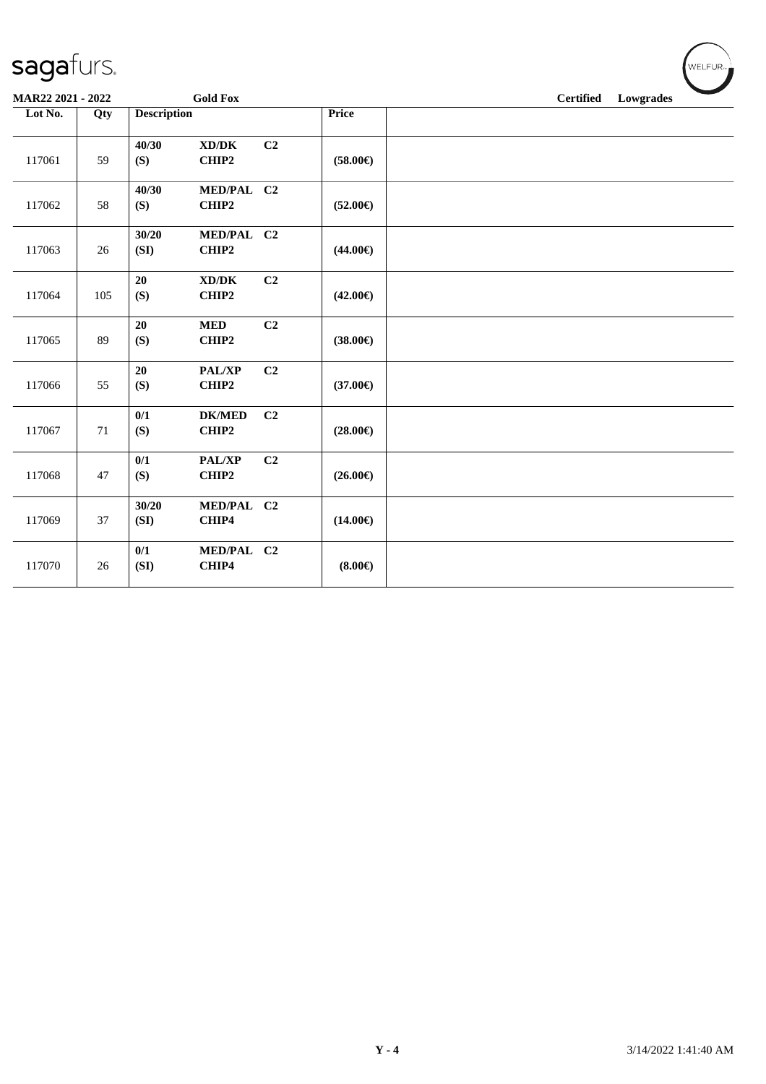| MAR22 2021 - 2022 |        |                    | <b>Gold Fox</b>                              |                |                   | <b>Certified</b><br>Lowgrades |
|-------------------|--------|--------------------|----------------------------------------------|----------------|-------------------|-------------------------------|
| Lot No.           | Qty    | <b>Description</b> |                                              |                | Price             |                               |
| 117061            | 59     | 40/30<br>(S)       | $\bold{X}\bold{D}/\bold{D}\bold{K}$<br>CHIP2 | C <sub>2</sub> | $(58.00\epsilon)$ |                               |
| 117062            | 58     | 40/30<br>(S)       | MED/PAL C2<br>CHIP2                          |                | $(52.00\epsilon)$ |                               |
| 117063            | 26     | 30/20<br>(SI)      | MED/PAL C2<br>CHIP2                          |                | $(44.00\epsilon)$ |                               |
| 117064            | 105    | 20<br>(S)          | XD/DK<br>CHIP2                               | C2             | $(42.00\epsilon)$ |                               |
| 117065            | 89     | 20<br>(S)          | $\bf MED$<br>CHIP2                           | C2             | $(38.00\epsilon)$ |                               |
| 117066            | 55     | 20<br>(S)          | PAL/XP<br>CHIP2                              | C <sub>2</sub> | $(37.00\epsilon)$ |                               |
| 117067            | 71     | 0/1<br>(S)         | <b>DK/MED</b><br>CHIP2                       | C <sub>2</sub> | $(28.00\epsilon)$ |                               |
| 117068            | 47     | 0/1<br>(S)         | PAL/XP<br>CHIP2                              | C2             | $(26.00\epsilon)$ |                               |
| 117069            | 37     | 30/20<br>(SI)      | MED/PAL C2<br>CHIP4                          |                | $(14.00\epsilon)$ |                               |
| 117070            | $26\,$ | 0/1<br>(SI)        | MED/PAL C2<br>CHIP4                          |                | $(8.00\epsilon)$  |                               |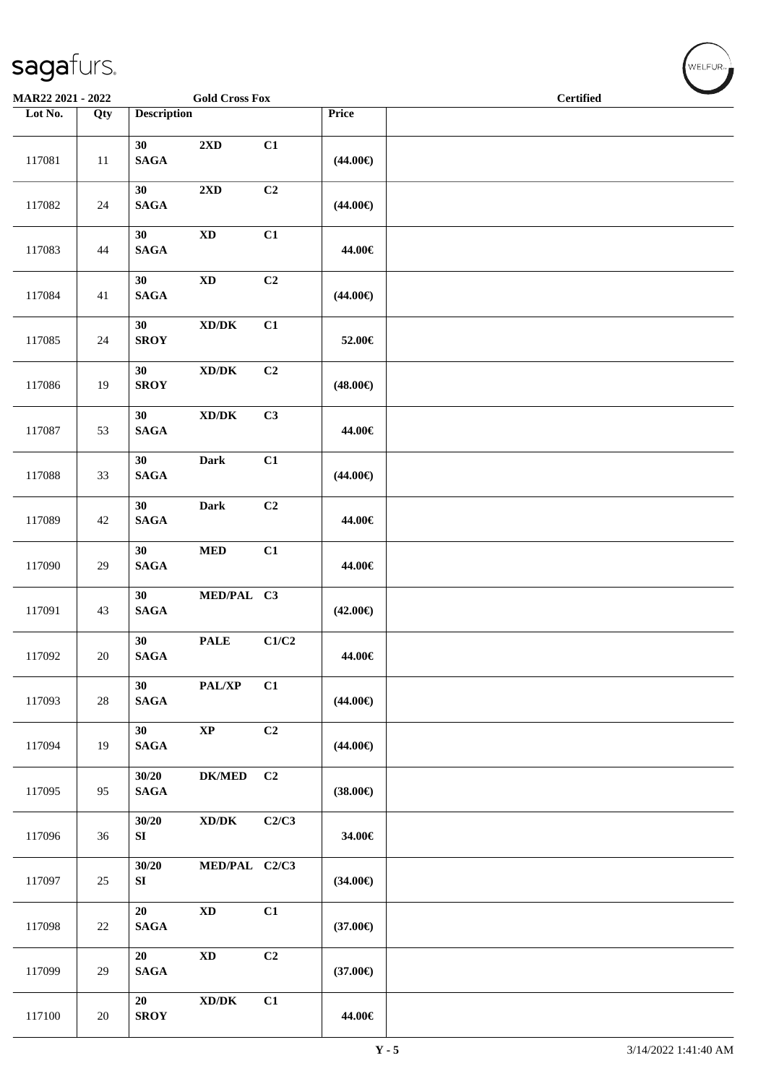| <b>Gold Cross Fox</b><br>MAR22 2021 - 2022 |        |                           |                                             |                |                   | <b>Certified</b> |  |  |
|--------------------------------------------|--------|---------------------------|---------------------------------------------|----------------|-------------------|------------------|--|--|
| Lot No.                                    | Qty    | <b>Description</b>        |                                             |                | Price             |                  |  |  |
| 117081                                     | $11\,$ | 30<br>$\mathbf{SAGA}$     | $2{\bf X}{\bf D}$                           | C1             | $(44.00\epsilon)$ |                  |  |  |
| 117082                                     | $24\,$ | 30<br>$\mathbf{SAGA}$     | $2{\bf X}{\bf D}$                           | C2             | $(44.00\epsilon)$ |                  |  |  |
| 117083                                     | 44     | 30<br>$\mathbf{SAGA}$     | $\mathbf{X}\mathbf{D}$                      | C1             | 44.00€            |                  |  |  |
| 117084                                     | 41     | 30<br><b>SAGA</b>         | $\mathbf{X}\mathbf{D}$                      | C2             | $(44.00\epsilon)$ |                  |  |  |
| 117085                                     | $24\,$ | 30<br><b>SROY</b>         | $\bold{X}\bold{D}/\bold{D}\bold{K}$         | C1             | 52.00€            |                  |  |  |
| 117086                                     | 19     | 30<br><b>SROY</b>         | $\mathbf{X}\mathbf{D}/\mathbf{D}\mathbf{K}$ | C2             | $(48.00\epsilon)$ |                  |  |  |
| 117087                                     | 53     | 30<br>$\mathbf{SAGA}$     | $\bold{X}\bold{D}/\bold{D}\bold{K}$         | C3             | 44.00€            |                  |  |  |
| 117088                                     | 33     | 30<br><b>SAGA</b>         | Dark                                        | C1             | $(44.00\epsilon)$ |                  |  |  |
| 117089                                     | 42     | 30<br>$\mathbf{SAGA}$     | <b>Dark</b>                                 | C2             | 44.00€            |                  |  |  |
| 117090                                     | 29     | 30<br><b>SAGA</b>         | $\bf MED$                                   | C1             | 44.00€            |                  |  |  |
| 117091                                     | 43     | 30<br>$\mathbf{SAGA}$     | MED/PAL C3                                  |                | $(42.00\epsilon)$ |                  |  |  |
| 117092                                     | $20\,$ | 30<br><b>SAGA</b>         | <b>PALE</b>                                 | C1/C2          | 44.00€            |                  |  |  |
| 117093                                     | $28\,$ | 30<br><b>SAGA</b>         | PAL/XP                                      | C1             | $(44.00\epsilon)$ |                  |  |  |
| 117094                                     | 19     | 30<br><b>SAGA</b>         | $\bold{XP}$                                 | C <sub>2</sub> | $(44.00\epsilon)$ |                  |  |  |
| 117095                                     | 95     | 30/20<br><b>SAGA</b>      | <b>DK/MED</b>                               | C2             | $(38.00\epsilon)$ |                  |  |  |
| 117096                                     | 36     | 30/20<br>SI               | $\mathbf{X}\mathbf{D}/\mathbf{D}\mathbf{K}$ | C2/C3          | 34.00€            |                  |  |  |
| 117097                                     | 25     | 30/20<br>${\bf S}{\bf I}$ | MED/PAL C2/C3                               |                | $(34.00\epsilon)$ |                  |  |  |
| 117098                                     | 22     | 20<br>$\mathbf{SAGA}$     | $\mathbf{X}\mathbf{D}$                      | C1             | $(37.00\epsilon)$ |                  |  |  |
| 117099                                     | $29\,$ | 20<br><b>SAGA</b>         | $\mathbf{X}\mathbf{D}$                      | C <sub>2</sub> | $(37.00\epsilon)$ |                  |  |  |
| 117100                                     | $20\,$ | 20<br><b>SROY</b>         | $\bold{X}\bold{D}/\bold{D}\bold{K}$         | C1             | 44.00€            |                  |  |  |

 $w$ ELFUR<sub>m</sub>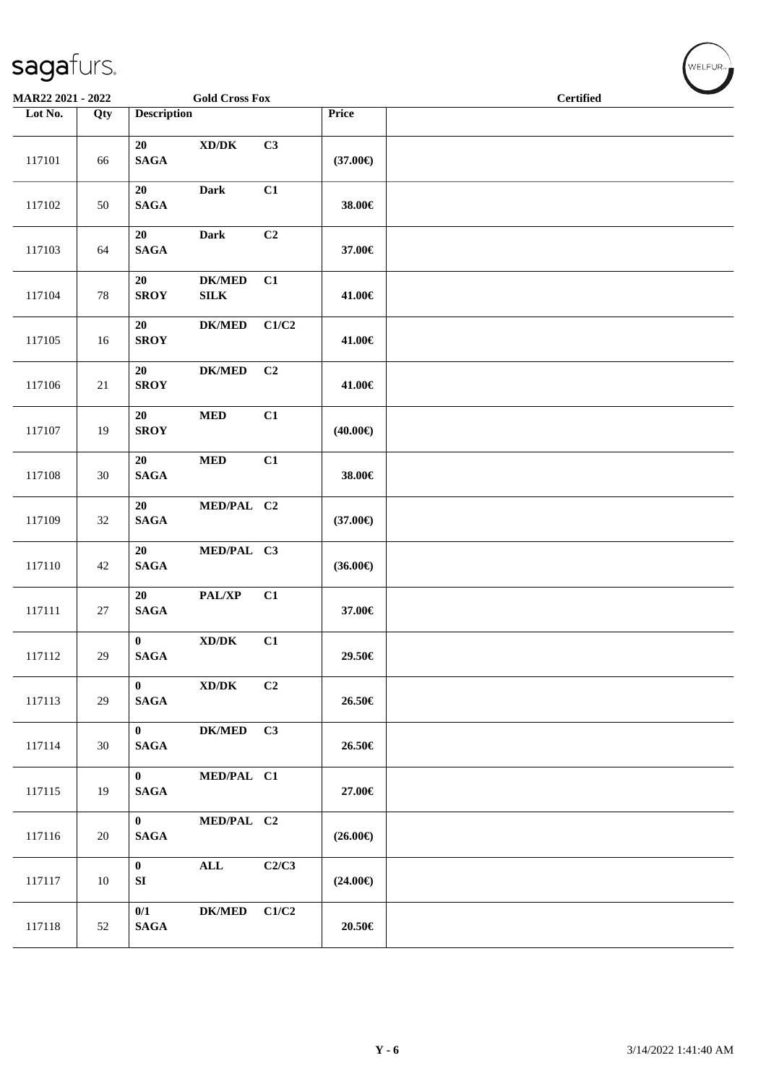| MAR22 2021 - 2022 |        |                                  | <b>Gold Cross Fox</b>                       |                |                   | <b>Certified</b> |  |
|-------------------|--------|----------------------------------|---------------------------------------------|----------------|-------------------|------------------|--|
| Lot No.           | Qty    | <b>Description</b>               |                                             |                | Price             |                  |  |
| 117101            | 66     | 20<br>$\mathbf{SAGA}$            | $\mathbf{X}\mathbf{D}/\mathbf{D}\mathbf{K}$ | C3             | $(37.00\epsilon)$ |                  |  |
| 117102            | 50     | 20<br><b>SAGA</b>                | Dark                                        | C1             | 38.00€            |                  |  |
| 117103            | 64     | 20<br>$\mathbf{SAGA}$            | Dark                                        | C <sub>2</sub> | 37.00€            |                  |  |
| 117104            | $78\,$ | 20<br><b>SROY</b>                | <b>DK/MED</b><br>${\bf SILK}$               | C1             | 41.00€            |                  |  |
| 117105            | 16     | 20<br><b>SROY</b>                | $DK/MED$                                    | C1/C2          | 41.00€            |                  |  |
| 117106            | 21     | 20<br><b>SROY</b>                | <b>DK/MED</b>                               | C <sub>2</sub> | 41.00€            |                  |  |
| 117107            | 19     | 20<br><b>SROY</b>                | $\bf MED$                                   | C1             | $(40.00\epsilon)$ |                  |  |
| 117108            | 30     | 20<br><b>SAGA</b>                | $\bf MED$                                   | C1             | 38.00€            |                  |  |
| 117109            | 32     | 20<br><b>SAGA</b>                | MED/PAL C2                                  |                | $(37.00\epsilon)$ |                  |  |
| 117110            | 42     | 20<br>$\mathbf{SAGA}$            | MED/PAL C3                                  |                | $(36.00\epsilon)$ |                  |  |
| 117111            | 27     | 20<br>$\mathbf{SAGA}$            | PAL/XP                                      | C1             | 37.00€            |                  |  |
| 117112            | 29     | $\mathbf{0}$<br><b>SAGA</b>      | $\mathbf{X}\mathbf{D}/\mathbf{D}\mathbf{K}$ | C1             | 29.50€            |                  |  |
| 117113            | 29     | $\mathbf{0}$<br><b>SAGA</b>      | $\bold{X}\bold{D}/\bold{D}\bold{K}$         | C2             | 26.50€            |                  |  |
| 117114            | 30     | $\mathbf{0}$<br><b>SAGA</b>      | <b>DK/MED</b>                               | C3             | 26.50€            |                  |  |
| 117115            | 19     | $\bf{0}$<br><b>SAGA</b>          | MED/PAL C1                                  |                | 27.00€            |                  |  |
| 117116            | $20\,$ | $\mathbf{0}$<br><b>SAGA</b>      | MED/PAL C2                                  |                | $(26.00\epsilon)$ |                  |  |
| 117117            | $10\,$ | $\mathbf{0}$<br>${\bf S}{\bf I}$ | $\mathbf{ALL}$                              | C2/C3          | $(24.00\epsilon)$ |                  |  |
| 117118            | 52     | 0/1<br>$\mathbf{SAGA}$           | <b>DK/MED</b>                               | C1/C2          | $20.50\in$        |                  |  |

WELFUR<sub><sup>N</sub></sub></sub></sup>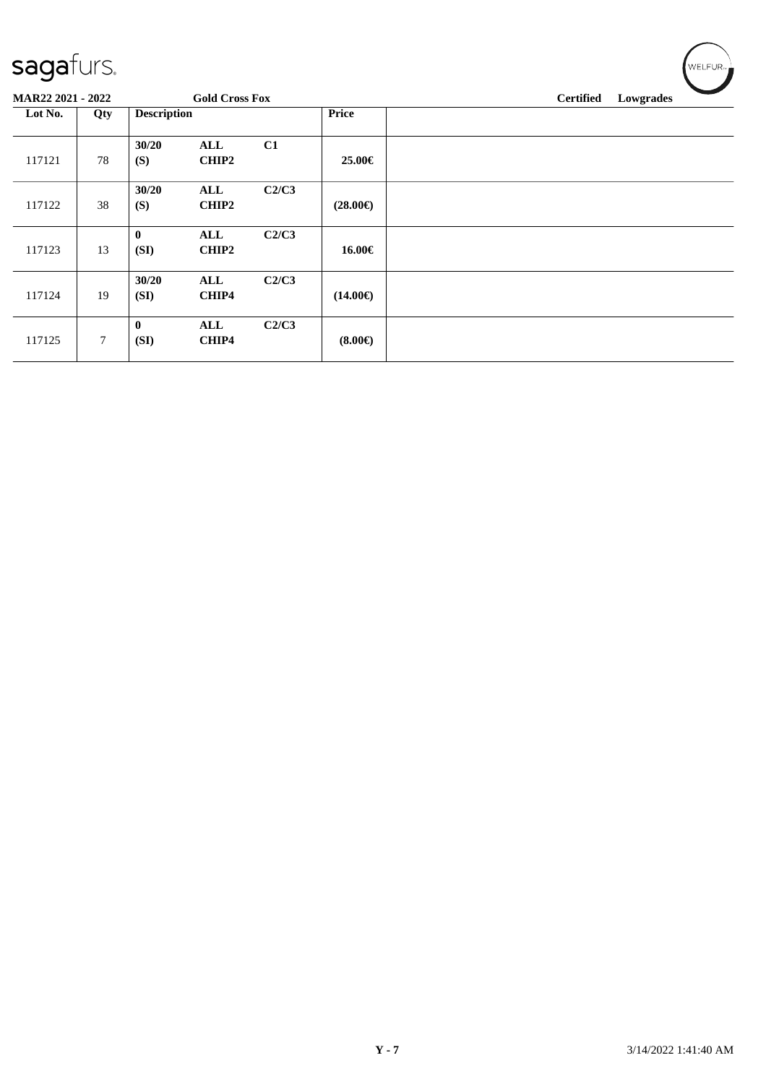| sagafurs.                |        |                    |                            |       |                   | WELFUR <sub>™</sub>           |
|--------------------------|--------|--------------------|----------------------------|-------|-------------------|-------------------------------|
| <b>MAR22 2021 - 2022</b> |        |                    | <b>Gold Cross Fox</b>      |       |                   | <b>Certified</b><br>Lowgrades |
| Lot No.                  | Qty    | <b>Description</b> |                            |       | <b>Price</b>      |                               |
| 117121                   | 78     | 30/20<br>(S)       | ALL<br><b>CHIP2</b>        | C1    | 25.00€            |                               |
| 117122                   | 38     | 30/20<br>(S)       | <b>ALL</b><br><b>CHIP2</b> | C2/C3 | $(28.00\epsilon)$ |                               |
| 117123                   | 13     | $\bf{0}$<br>(SI)   | ALL<br>CHIP2               | C2/C3 | 16.00€            |                               |
| 117124                   | 19     | 30/20<br>(SI)      | ALL<br>CHIP4               | C2/C3 | $(14.00\epsilon)$ |                               |
| 117125                   | $\tau$ | $\bf{0}$<br>(SI)   | ALL<br>CHIP4               | C2/C3 | $(8.00\epsilon)$  |                               |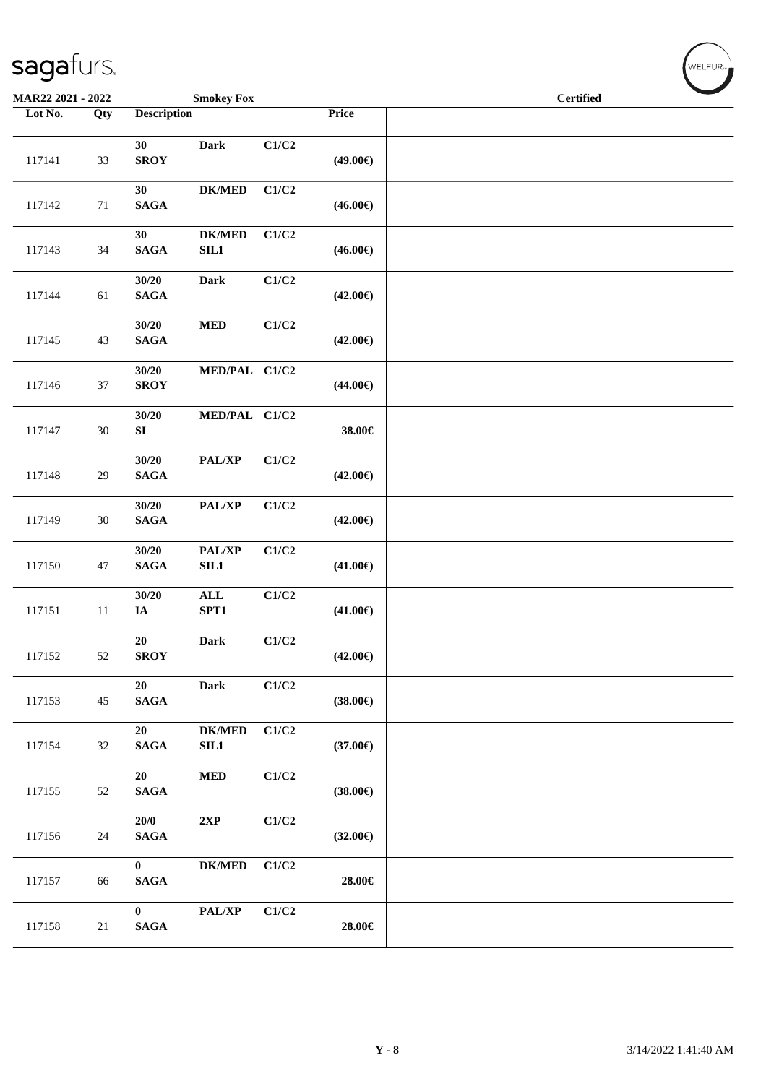| <b>Smokey Fox</b><br><b>MAR22 2021 - 2022</b> |        |                             |                        |       |                   | <b>Certified</b> | $\sim$ |
|-----------------------------------------------|--------|-----------------------------|------------------------|-------|-------------------|------------------|--------|
| Lot No.                                       | Qty    | <b>Description</b>          |                        |       | Price             |                  |        |
| 117141                                        | 33     | 30<br><b>SROY</b>           | Dark                   | C1/C2 | $(49.00\epsilon)$ |                  |        |
| 117142                                        | 71     | 30<br><b>SAGA</b>           | $DK/MED$               | C1/C2 | $(46.00\epsilon)$ |                  |        |
| 117143                                        | 34     | 30<br>$\mathbf{SAGA}$       | <b>DK/MED</b><br>SL1   | C1/C2 | $(46.00\epsilon)$ |                  |        |
| 117144                                        | 61     | 30/20<br><b>SAGA</b>        | Dark                   | C1/C2 | $(42.00\epsilon)$ |                  |        |
| 117145                                        | 43     | 30/20<br>$\mathbf{SAGA}$    | $\bf MED$              | C1/C2 | $(42.00\epsilon)$ |                  |        |
| 117146                                        | $37\,$ | 30/20<br><b>SROY</b>        | MED/PAL C1/C2          |       | $(44.00\epsilon)$ |                  |        |
| 117147                                        | 30     | 30/20<br>${\bf S}{\bf I}$   | MED/PAL C1/C2          |       | 38.00€            |                  |        |
| 117148                                        | 29     | 30/20<br>$\mathbf{SAGA}$    | PAL/XP                 | C1/C2 | $(42.00\epsilon)$ |                  |        |
| 117149                                        | 30     | 30/20<br><b>SAGA</b>        | PAL/XP                 | C1/C2 | $(42.00\epsilon)$ |                  |        |
| 117150                                        | 47     | 30/20<br><b>SAGA</b>        | PAL/XP<br>SL1          | C1/C2 | $(41.00\epsilon)$ |                  |        |
| 117151                                        | $11\,$ | 30/20<br>$I\!\!A$           | $\mathbf{ALL}$<br>SPT1 | C1/C2 | $(41.00\epsilon)$ |                  |        |
| 117152                                        | $52\,$ | 20<br><b>SROY</b>           | Dark                   | C1/C2 | $(42.00\epsilon)$ |                  |        |
| 117153                                        | 45     | 20<br><b>SAGA</b>           | <b>Dark</b>            | C1/C2 | $(38.00\epsilon)$ |                  |        |
| 117154                                        | 32     | 20<br><b>SAGA</b>           | <b>DK/MED</b><br>SL1   | C1/C2 | $(37.00\epsilon)$ |                  |        |
| 117155                                        | 52     | 20<br><b>SAGA</b>           | $\bf MED$              | C1/C2 | $(38.00\epsilon)$ |                  |        |
| 117156                                        | 24     | 20/0<br><b>SAGA</b>         | $2{\bf XP}$            | C1/C2 | $(32.00\epsilon)$ |                  |        |
| 117157                                        | 66     | $\bf{0}$<br>$\mathbf{SAGA}$ | <b>DK/MED</b>          | C1/C2 | 28.00€            |                  |        |
| 117158                                        | 21     | $\bf{0}$<br><b>SAGA</b>     | PAL/XP                 | C1/C2 | 28.00€            |                  |        |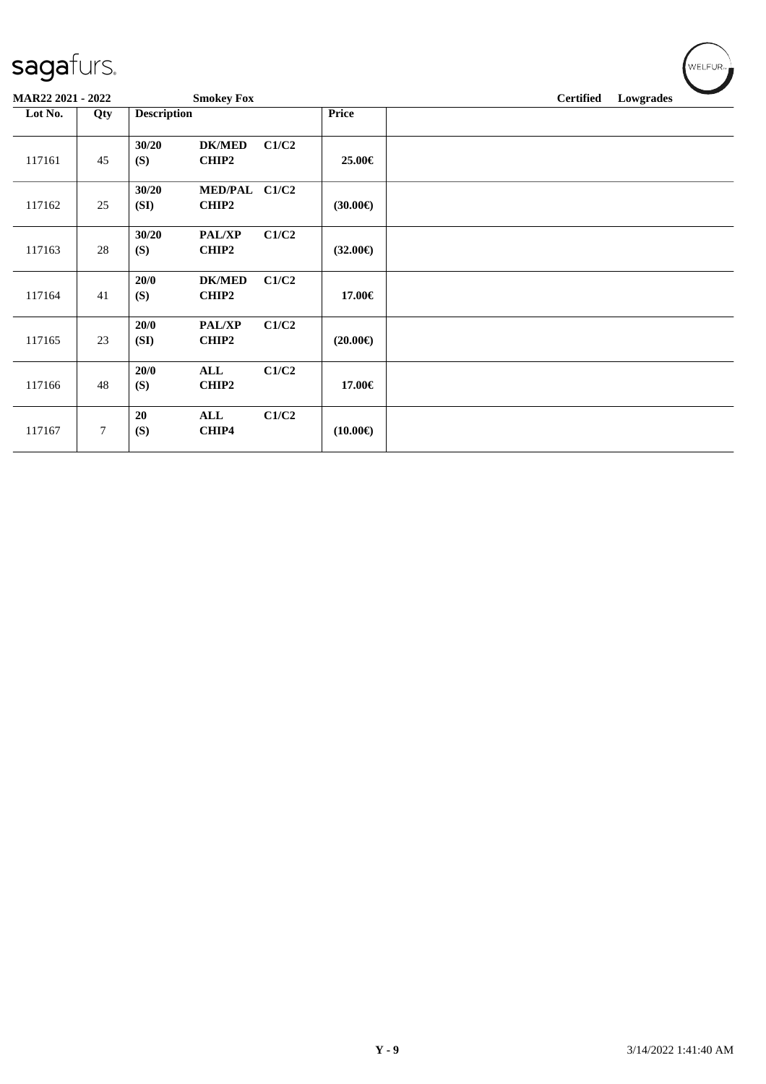| MAR22 2021 - 2022 |                |                    | <b>Smokey Fox</b>      |       |                   | <b>Certified</b> | $\overline{\phantom{a}}$<br>Lowgrades |
|-------------------|----------------|--------------------|------------------------|-------|-------------------|------------------|---------------------------------------|
| Lot No.           | Qty            | <b>Description</b> |                        |       | <b>Price</b>      |                  |                                       |
| 117161            | 45             | 30/20<br>(S)       | <b>DK/MED</b><br>CHIP2 | C1/C2 | 25.00€            |                  |                                       |
| 117162            | 25             | 30/20<br>(SI)      | MED/PAL C1/C2<br>CHIP2 |       | $(30.00\epsilon)$ |                  |                                       |
| 117163            | 28             | 30/20<br>(S)       | <b>PAL/XP</b><br>CHIP2 | C1/C2 | $(32.00\epsilon)$ |                  |                                       |
| 117164            | 41             | 20/0<br>(S)        | <b>DK/MED</b><br>CHIP2 | C1/C2 | 17.00€            |                  |                                       |
| 117165            | 23             | 20/0<br>(SI)       | PAL/XP<br>CHIP2        | C1/C2 | $(20.00\epsilon)$ |                  |                                       |
| 117166            | 48             | 20/0<br>(S)        | <b>ALL</b><br>CHIP2    | C1/C2 | 17.00€            |                  |                                       |
| 117167            | $\overline{7}$ | 20<br>(S)          | ALL<br>CHIP4           | C1/C2 | $(10.00\epsilon)$ |                  |                                       |

 $\left(\bigvee_{W \in \mathsf{LFUR}_{\mathbb{Z}}}\right)$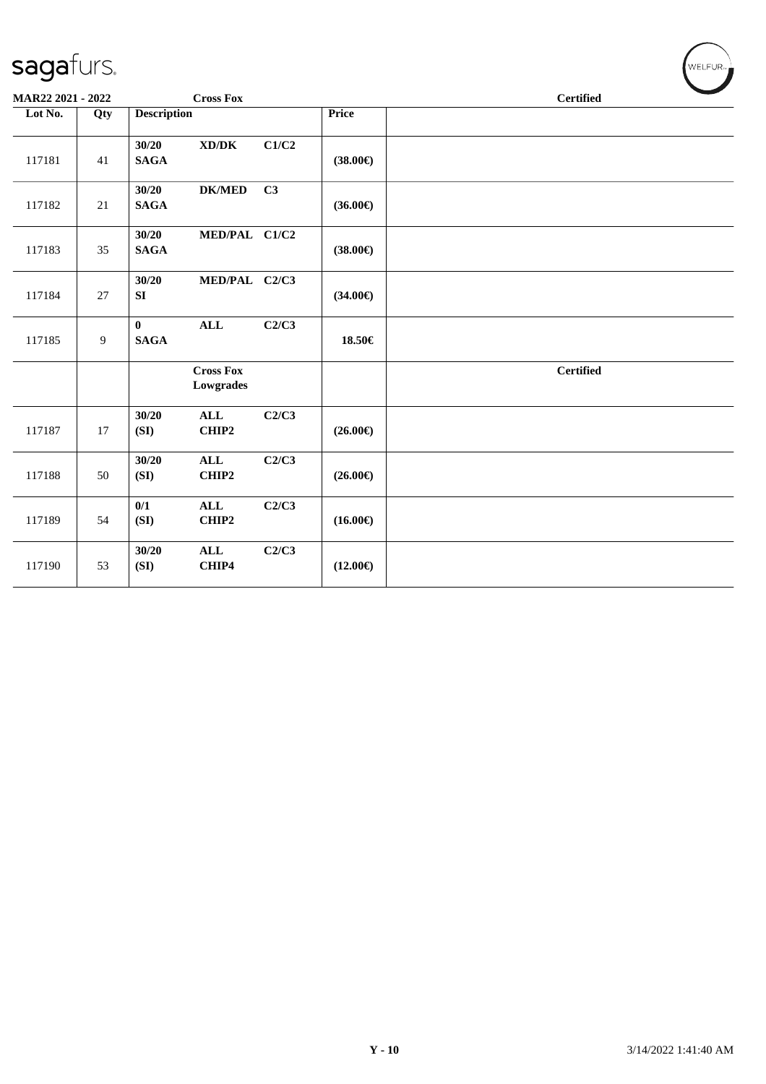| MAR22 2021 - 2022 |                |                         | <b>Cross Fox</b>                    |       |                   | <b>Certified</b> |
|-------------------|----------------|-------------------------|-------------------------------------|-------|-------------------|------------------|
| Lot No.           | Qty            | <b>Description</b>      |                                     |       | Price             |                  |
| 117181            | 41             | 30/20<br><b>SAGA</b>    | $\bold{X}\bold{D}/\bold{D}\bold{K}$ | C1/C2 | $(38.00\epsilon)$ |                  |
| 117182            | 21             | 30/20<br><b>SAGA</b>    | <b>DK/MED</b>                       | C3    | $(36.00\epsilon)$ |                  |
| 117183            | 35             | 30/20<br><b>SAGA</b>    | MED/PAL C1/C2                       |       | $(38.00\epsilon)$ |                  |
| 117184            | 27             | 30/20<br>SI             | MED/PAL C2/C3                       |       | $(34.00\epsilon)$ |                  |
| 117185            | $\overline{9}$ | $\bf{0}$<br><b>SAGA</b> | ALL                                 | C2/C3 | 18.50€            |                  |
|                   |                |                         | <b>Cross Fox</b><br>Lowgrades       |       |                   | <b>Certified</b> |
| 117187            | 17             | 30/20<br>(SI)           | $\mathbf{ALL}$<br>CHIP2             | C2/C3 | $(26.00\epsilon)$ |                  |
| 117188            | 50             | 30/20<br>(SI)           | $\mathbf{ALL}$<br>CHIP2             | C2/C3 | $(26.00\epsilon)$ |                  |
| 117189            | 54             | 0/1<br>(SI)             | <b>ALL</b><br>CHIP2                 | C2/C3 | $(16.00\epsilon)$ |                  |
| 117190            | 53             | 30/20<br>(SI)           | $\mathbf{ALL}$<br>CHIP4             | C2/C3 | $(12.00\epsilon)$ |                  |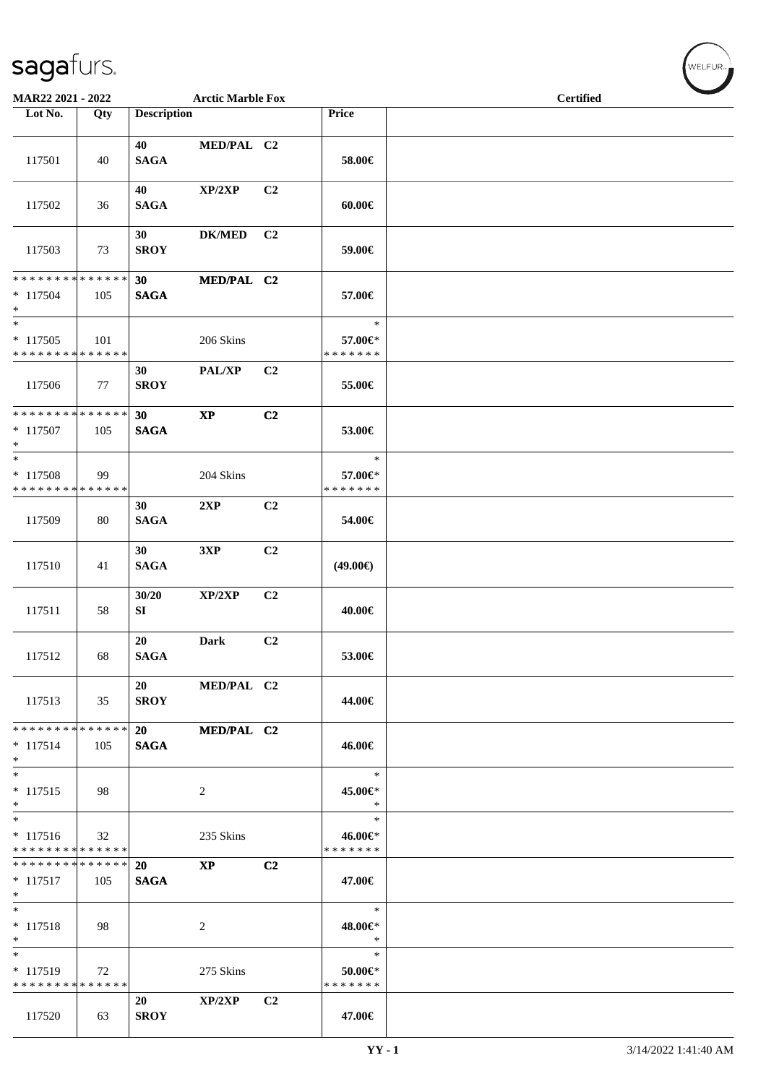| MAR22 2021 - 2022                                              |     |                    | <b>Arctic Marble Fox</b>   |                |                                    | <b>Certified</b> |
|----------------------------------------------------------------|-----|--------------------|----------------------------|----------------|------------------------------------|------------------|
| Lot No.                                                        | Qty | <b>Description</b> |                            |                | Price                              |                  |
| 117501                                                         | 40  | 40<br><b>SAGA</b>  | MED/PAL C2                 |                | 58.00€                             |                  |
| 117502                                                         | 36  | 40<br><b>SAGA</b>  | XP/2XP                     | C2             | $60.00 \in$                        |                  |
| 117503                                                         | 73  | 30<br><b>SROY</b>  | <b>DK/MED</b>              | C2             | 59.00€                             |                  |
| * * * * * * * * * * * * * * *<br>$*117504$<br>$*$              | 105 | 30<br><b>SAGA</b>  | MED/PAL C2                 |                | 57.00€                             |                  |
| $*$<br>$* 117505$<br>* * * * * * * * * * * * * *               | 101 |                    | 206 Skins                  |                | $\ast$<br>57.00€*<br>* * * * * * * |                  |
| 117506                                                         | 77  | 30<br><b>SROY</b>  | $\mathbf{PAL}/\mathbf{XP}$ | C <sub>2</sub> | 55.00€                             |                  |
| ******** <mark>******</mark><br>* 117507<br>$*$                | 105 | 30<br><b>SAGA</b>  | $\bold{XP}$                | C2             | 53.00€                             |                  |
| $*$<br>* 117508<br>* * * * * * * * * * * * * *                 | 99  |                    | 204 Skins                  |                | $\ast$<br>57.00€*<br>* * * * * * * |                  |
| 117509                                                         | 80  | 30<br><b>SAGA</b>  | 2XP                        | C2             | 54.00€                             |                  |
| 117510                                                         | 41  | 30<br><b>SAGA</b>  | 3XP                        | C2             | $(49.00\epsilon)$                  |                  |
| 117511                                                         | 58  | 30/20<br>SI        | XP/2XP                     | C2             | 40.00€                             |                  |
| 117512                                                         | 68  | 20<br><b>SAGA</b>  | <b>Dark</b>                | C2             | 53.00€                             |                  |
| 117513                                                         | 35  | 20<br><b>SROY</b>  | MED/PAL C2                 |                | 44.00€                             |                  |
| ******** <mark>******</mark><br>$* 117514$<br>$*$              | 105 | 20<br><b>SAGA</b>  | MED/PAL C2                 |                | 46.00€                             |                  |
| $*$<br>$* 117515$<br>$*$                                       | 98  |                    | 2                          |                | $\ast$<br>45.00€*<br>$\ast$        |                  |
| $\overline{\ast}$<br>$* 117516$<br>* * * * * * * * * * * * * * | 32  |                    | 235 Skins                  |                | $\ast$<br>46.00€*<br>* * * * * * * |                  |
| * * * * * * * * * * * * * * *<br>$* 117517$<br>$*$             | 105 | 20<br><b>SAGA</b>  | <b>XP</b>                  | C <sub>2</sub> | 47.00€                             |                  |
| $*$<br>$* 117518$<br>$*$                                       | 98  |                    | 2                          |                | $\ast$<br>48.00€*<br>$\ast$        |                  |
| $\ast$<br>$* 117519$<br>* * * * * * * * * * * * * *            | 72  |                    | 275 Skins                  |                | $\ast$<br>50.00€*<br>* * * * * * * |                  |
| 117520                                                         | 63  | 20<br><b>SROY</b>  | XP/2XP                     | C2             | 47.00€                             |                  |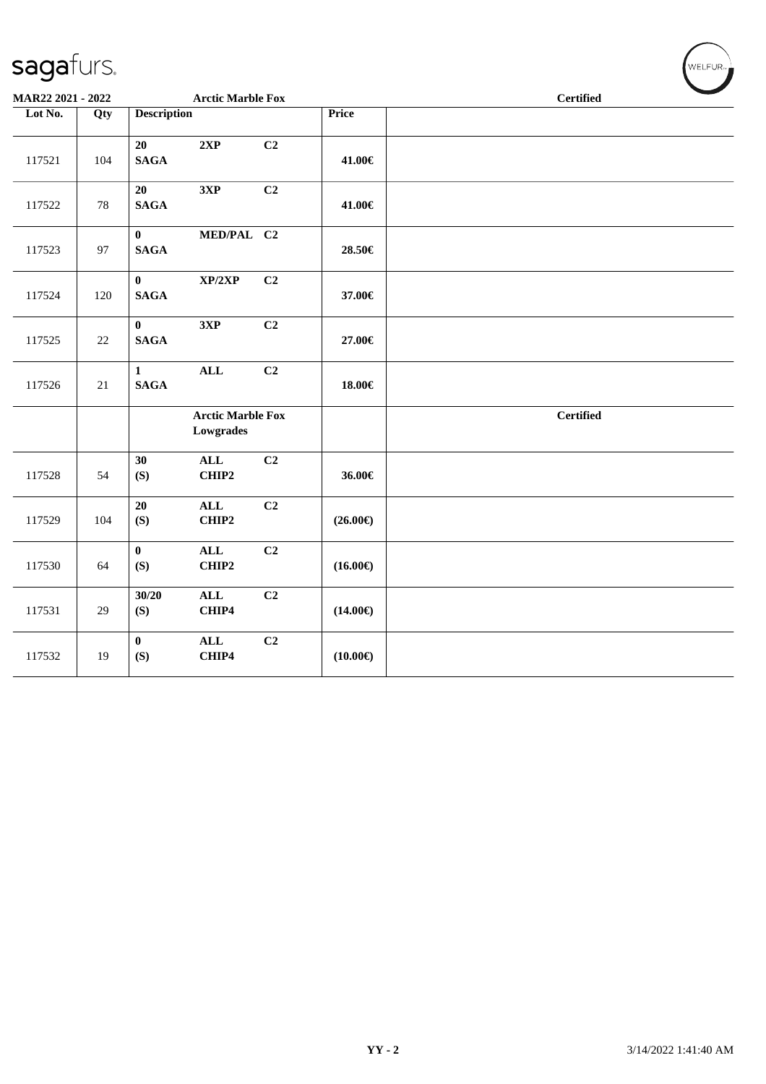| MAR22 2021 - 2022 |        |                                 | <b>Arctic Marble Fox</b>              |                |                   | <b>Certified</b> |
|-------------------|--------|---------------------------------|---------------------------------------|----------------|-------------------|------------------|
| Lot No.           | Qty    | <b>Description</b>              |                                       |                | <b>Price</b>      |                  |
| 117521            | 104    | 20<br><b>SAGA</b>               | 2XP                                   | C <sub>2</sub> | 41.00€            |                  |
| 117522            | 78     | 20<br><b>SAGA</b>               | 3XP                                   | C2             | 41.00€            |                  |
| 117523            | 97     | $\bf{0}$<br><b>SAGA</b>         | MED/PAL C2                            |                | 28.50€            |                  |
| 117524            | 120    | $\mathbf{0}$<br>$\mathbf{SAGA}$ | XP/2XP                                | C <sub>2</sub> | 37.00€            |                  |
| 117525            | $22\,$ | $\mathbf{0}$<br><b>SAGA</b>     | 3XP                                   | C2             | 27.00€            |                  |
| 117526            | 21     | $\mathbf{1}$<br><b>SAGA</b>     | $\mathbf{ALL}$                        | C <sub>2</sub> | 18.00€            |                  |
|                   |        |                                 | <b>Arctic Marble Fox</b><br>Lowgrades |                |                   | <b>Certified</b> |
| 117528            | 54     | 30<br>(S)                       | $\mathbf{ALL}$<br>CHIP2               | C <sub>2</sub> | 36.00€            |                  |
| 117529            | 104    | 20<br>(S)                       | ALL<br>CHIP2                          | C2             | $(26.00\epsilon)$ |                  |
| 117530            | 64     | $\bf{0}$<br>(S)                 | $\mathbf{ALL}$<br>CHIP2               | C2             | $(16.00\epsilon)$ |                  |
| 117531            | 29     | 30/20<br>(S)                    | $\mathbf{ALL}$<br>CHIP4               | C <sub>2</sub> | $(14.00\epsilon)$ |                  |
| 117532            | 19     | $\mathbf{0}$<br>(S)             | $\mathbf{ALL}$<br>CHIP4               | C <sub>2</sub> | $(10.00\epsilon)$ |                  |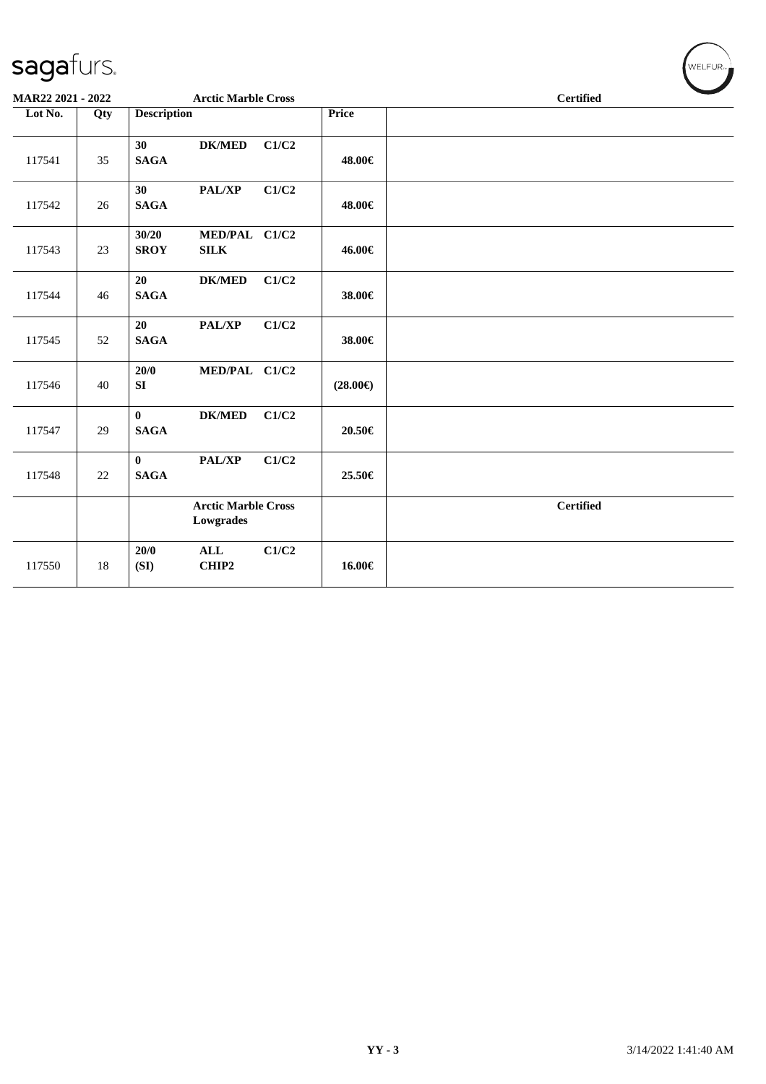| MAR22 2021 - 2022 |     | <b>Arctic Marble Cross</b>                            |                   | <b>Certified</b> |  |  |
|-------------------|-----|-------------------------------------------------------|-------------------|------------------|--|--|
| Lot No.           | Qty | <b>Description</b>                                    | <b>Price</b>      |                  |  |  |
| 117541            | 35  | 30<br><b>DK/MED</b><br><b>SAGA</b>                    | C1/C2<br>48.00€   |                  |  |  |
| 117542            | 26  | 30<br>PAL/XP<br><b>SAGA</b>                           | C1/C2<br>48.00€   |                  |  |  |
| 117543            | 23  | 30/20<br>MED/PAL C1/C2<br><b>SROY</b><br>${\bf SILK}$ | 46.00€            |                  |  |  |
| 117544            | 46  | <b>DK/MED</b><br>20<br><b>SAGA</b>                    | C1/C2<br>38.00€   |                  |  |  |
| 117545            | 52  | 20<br>PAL/XP<br><b>SAGA</b>                           | C1/C2<br>38.00€   |                  |  |  |
| 117546            | 40  | MED/PAL C1/C2<br>20/0<br>SI                           | $(28.00\epsilon)$ |                  |  |  |
| 117547            | 29  | $\bf{0}$<br><b>DK/MED</b><br><b>SAGA</b>              | C1/C2<br>20.50€   |                  |  |  |
| 117548            | 22  | $\bf{0}$<br>PAL/XP<br><b>SAGA</b>                     | C1/C2<br>25.50€   |                  |  |  |
|                   |     | <b>Arctic Marble Cross</b><br>Lowgrades               |                   | <b>Certified</b> |  |  |
| 117550            | 18  | 20/0<br><b>ALL</b><br>CHIP2<br>(SI)                   | C1/C2<br>16.00€   |                  |  |  |

 $\left(\mathsf{WELFLR}_{\mathbb{Z}}\right)$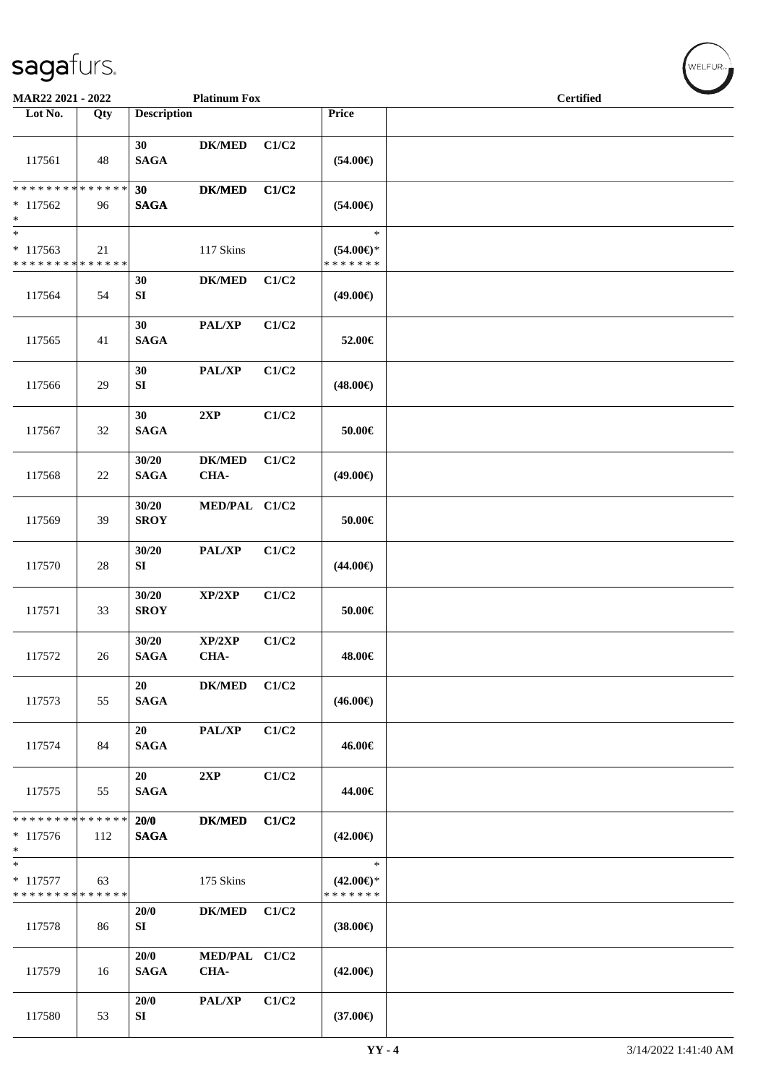| MAR22 2021 - 2022                                   |     |                      | <b>Platinum Fox</b>   |       |                                                | <b>Certified</b> |  |
|-----------------------------------------------------|-----|----------------------|-----------------------|-------|------------------------------------------------|------------------|--|
| Lot No.                                             | Qty | <b>Description</b>   |                       |       | <b>Price</b>                                   |                  |  |
| 117561                                              | 48  | 30<br><b>SAGA</b>    | <b>DK/MED</b>         | C1/C2 | $(54.00\epsilon)$                              |                  |  |
| * * * * * * * * * * * * * *<br>$*117562$<br>$*$     | 96  | 30<br><b>SAGA</b>    | <b>DK/MED</b>         | C1/C2 | $(54.00\epsilon)$                              |                  |  |
| $*$<br>* 117563<br>* * * * * * * * * * * * * *      | 21  |                      | 117 Skins             |       | $\ast$<br>$(54.00\epsilon)$ *<br>* * * * * * * |                  |  |
| 117564                                              | 54  | 30<br>SI             | <b>DK/MED</b>         | C1/C2 | $(49.00\epsilon)$                              |                  |  |
| 117565                                              | 41  | 30<br><b>SAGA</b>    | PAL/XP                | C1/C2 | 52.00€                                         |                  |  |
| 117566                                              | 29  | 30<br>SI             | PAL/XP                | C1/C2 | $(48.00\epsilon)$                              |                  |  |
| 117567                                              | 32  | 30<br><b>SAGA</b>    | 2XP                   | C1/C2 | 50.00€                                         |                  |  |
| 117568                                              | 22  | 30/20<br><b>SAGA</b> | <b>DK/MED</b><br>CHA- | C1/C2 | $(49.00\epsilon)$                              |                  |  |
| 117569                                              | 39  | 30/20<br><b>SROY</b> | MED/PAL C1/C2         |       | $50.00\in$                                     |                  |  |
| 117570                                              | 28  | 30/20<br>SI          | PAL/XP                | C1/C2 | $(44.00\epsilon)$                              |                  |  |
| 117571                                              | 33  | 30/20<br><b>SROY</b> | XP/2XP                | C1/C2 | $50.00\in$                                     |                  |  |
| 117572                                              | 26  | 30/20<br><b>SAGA</b> | XP/2XP<br>CHA-        | C1/C2 | 48.00€                                         |                  |  |
| 117573                                              | 55  | 20<br><b>SAGA</b>    | <b>DK/MED</b>         | C1/C2 | $(46.00\epsilon)$                              |                  |  |
| 117574                                              | 84  | 20<br><b>SAGA</b>    | PAL/XP                | C1/C2 | 46.00€                                         |                  |  |
| 117575                                              | 55  | 20<br><b>SAGA</b>    | 2XP                   | C1/C2 | 44.00€                                         |                  |  |
| * * * * * * * * * * * * * *<br>$*117576$<br>$*$     | 112 | 20/0<br><b>SAGA</b>  | <b>DK/MED</b>         | C1/C2 | $(42.00\epsilon)$                              |                  |  |
| $\ast$<br>$* 117577$<br>* * * * * * * * * * * * * * | 63  |                      | 175 Skins             |       | $\ast$<br>$(42.00\epsilon)$ *<br>* * * * * * * |                  |  |
| 117578                                              | 86  | 20/0<br>SI           | <b>DK/MED</b>         | C1/C2 | $(38.00\epsilon)$                              |                  |  |
| 117579                                              | 16  | 20/0<br><b>SAGA</b>  | MED/PAL C1/C2<br>CHA- |       | $(42.00\epsilon)$                              |                  |  |
| 117580                                              | 53  | 20/0<br>${\bf SI}$   | PAL/XP                | C1/C2 | $(37.00\in)$                                   |                  |  |

 $(w$ ELFUR<sub><sup>n</sub></sub></sub></sup>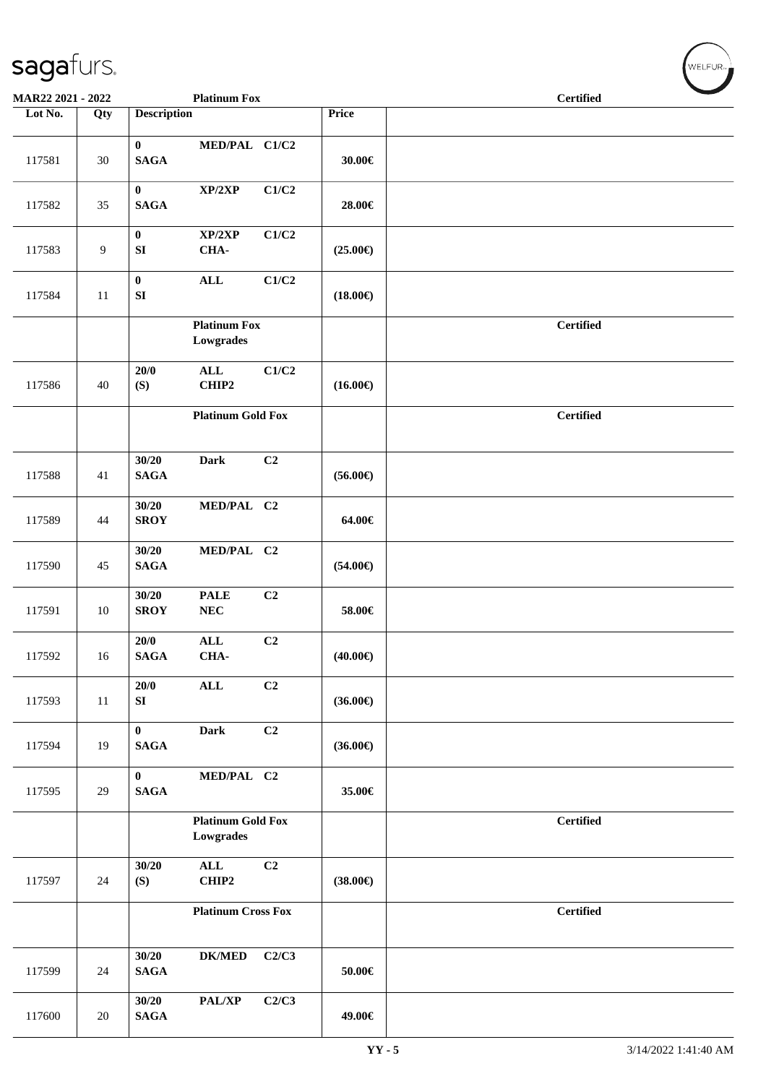| MAR22 2021 - 2022 |     |                              | <b>Platinum Fox</b>                   |                |                   | <b>Certified</b> |
|-------------------|-----|------------------------------|---------------------------------------|----------------|-------------------|------------------|
| Lot No.           | Qty | <b>Description</b>           |                                       |                | Price             |                  |
| 117581            | 30  | $\bf{0}$<br>$\mathbf{SAGA}$  | MED/PAL C1/C2                         |                | 30.00€            |                  |
| 117582            | 35  | $\bf{0}$<br><b>SAGA</b>      | XP/2XP                                | C1/C2          | 28.00€            |                  |
| 117583            | 9   | $\bf{0}$<br>${\bf S}{\bf I}$ | XP/2XP<br>CHA-                        | C1/C2          | $(25.00\epsilon)$ |                  |
| 117584            | 11  | $\bf{0}$<br>${\bf S}{\bf I}$ | $\mathbf{ALL}$                        | C1/C2          | $(18.00\epsilon)$ |                  |
|                   |     |                              | <b>Platinum Fox</b><br>Lowgrades      |                |                   | <b>Certified</b> |
| 117586            | 40  | 20/0<br>(S)                  | $\mathbf{ALL}$<br>CHIP2               | C1/C2          | $(16.00\epsilon)$ |                  |
|                   |     |                              | <b>Platinum Gold Fox</b>              |                |                   | <b>Certified</b> |
| 117588            | 41  | 30/20<br><b>SAGA</b>         | <b>Dark</b>                           | C2             | $(56.00\epsilon)$ |                  |
| 117589            | 44  | 30/20<br><b>SROY</b>         | MED/PAL C2                            |                | 64.00€            |                  |
| 117590            | 45  | 30/20<br><b>SAGA</b>         | MED/PAL C2                            |                | $(54.00\epsilon)$ |                  |
| 117591            | 10  | 30/20<br><b>SROY</b>         | <b>PALE</b><br>${\bf NEC}$            | C <sub>2</sub> | 58.00€            |                  |
| 117592            | 16  | $20/0$<br>$\mathbf{SAGA}$    | $\mathbf{ALL}$<br>CHA-                | C2             | $(40.00\epsilon)$ |                  |
| 117593            | 11  | 20/0<br>${\bf SI}$           | $\mathbf{ALL}$                        | C <sub>2</sub> | $(36.00\epsilon)$ |                  |
| 117594            | 19  | $\bf{0}$<br><b>SAGA</b>      | <b>Dark</b>                           | C2             | $(36.00\epsilon)$ |                  |
| 117595            | 29  | $\bf{0}$<br><b>SAGA</b>      | MED/PAL C2                            |                | 35.00€            |                  |
|                   |     |                              | <b>Platinum Gold Fox</b><br>Lowgrades |                |                   | <b>Certified</b> |
| 117597            | 24  | 30/20<br>(S)                 | $\mathbf{ALL}$<br>CHIP2               | C <sub>2</sub> | $(38.00\epsilon)$ |                  |
|                   |     |                              | <b>Platinum Cross Fox</b>             |                |                   | <b>Certified</b> |
| 117599            | 24  | 30/20<br><b>SAGA</b>         | $DK/MED$                              | C2/C3          | $50.00 \in$       |                  |
| 117600            | 20  | 30/20<br><b>SAGA</b>         | PAL/XP                                | C2/C3          | 49.00€            |                  |

 $w$ ELFUR<sub>m</sub>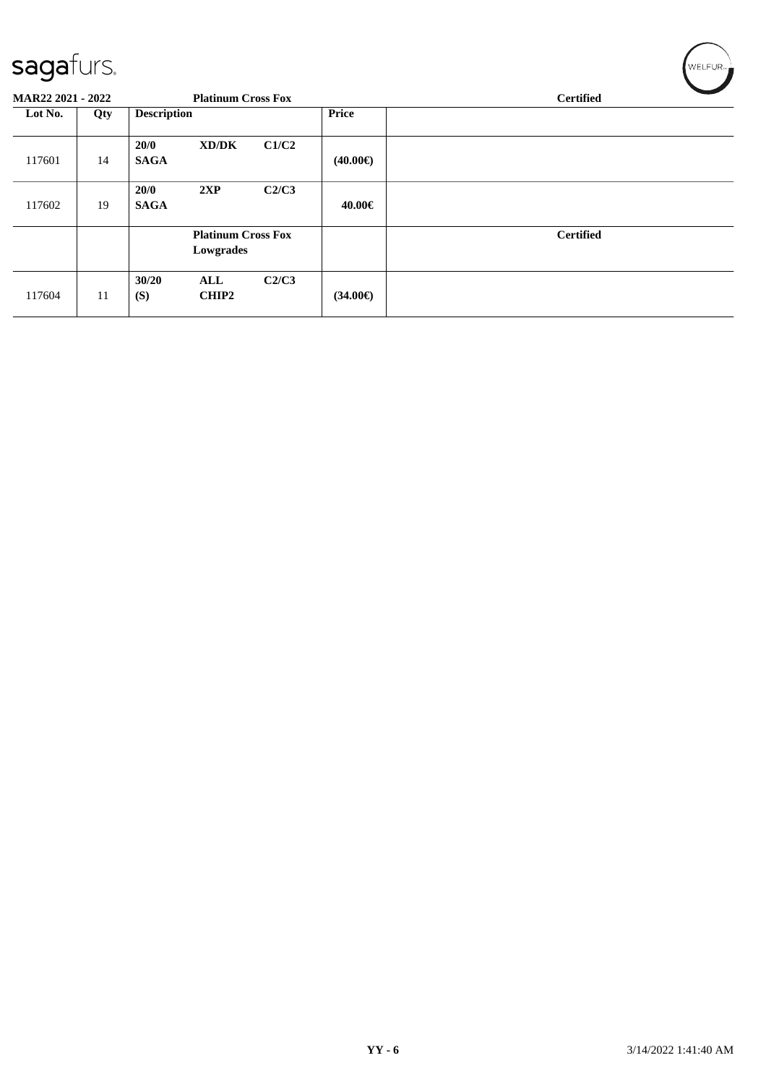| sayarurs.                |     |                     |                                        |       |                   | <b>VVELFUR<sub>T</sub></b> |
|--------------------------|-----|---------------------|----------------------------------------|-------|-------------------|----------------------------|
| <b>MAR22 2021 - 2022</b> |     |                     | <b>Platinum Cross Fox</b>              |       |                   | <b>Certified</b>           |
| Lot No.                  | Qty | <b>Description</b>  |                                        |       | Price             |                            |
| 117601                   | 14  | 20/0<br><b>SAGA</b> | XD/DK                                  | C1/C2 | $(40.00\epsilon)$ |                            |
| 117602                   | 19  | 20/0<br><b>SAGA</b> | 2XP                                    | C2/C3 | 40.00€            |                            |
|                          |     |                     | <b>Platinum Cross Fox</b><br>Lowgrades |       |                   | <b>Certified</b>           |
| 117604                   | 11  | 30/20<br>(S)        | ALL<br><b>CHIP2</b>                    | C2/C3 | $(34.00\epsilon)$ |                            |

 $\sqrt{2\pi r}$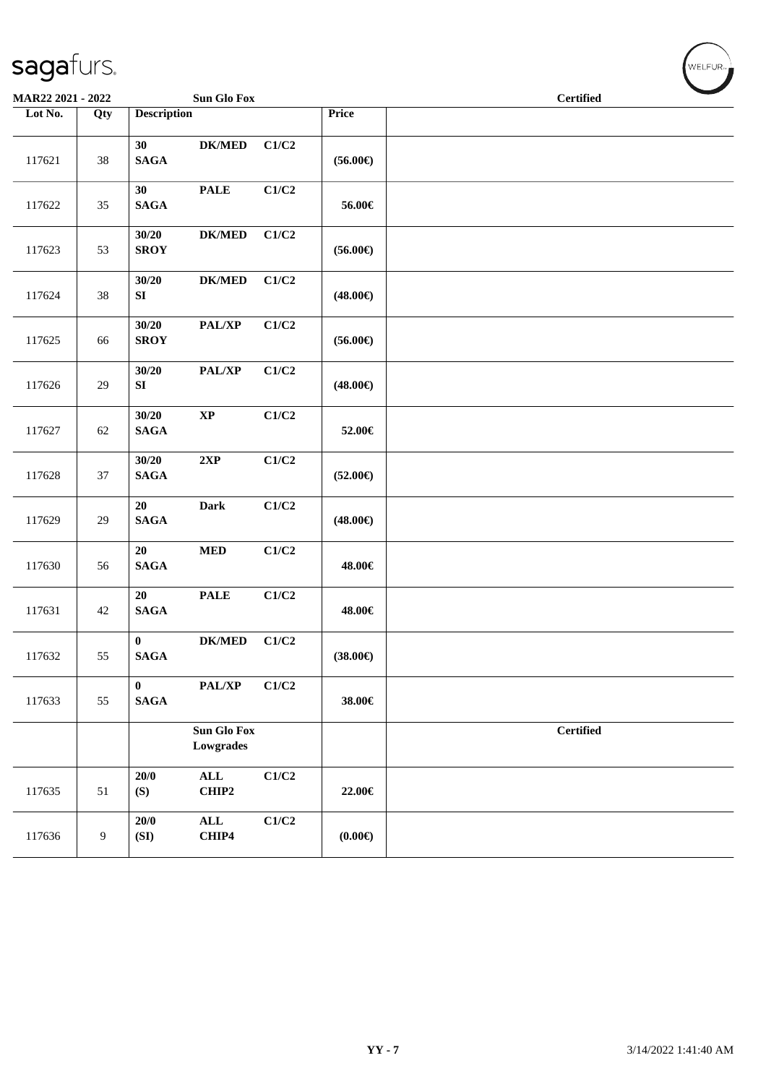| MAR22 2021 - 2022 |                  |                           | Sun Glo Fox                  |                           |                   | $\sim$<br><b>Certified</b> |
|-------------------|------------------|---------------------------|------------------------------|---------------------------|-------------------|----------------------------|
| Lot No.           | Qty              | <b>Description</b>        |                              |                           | Price             |                            |
| 117621            | $38\,$           | 30<br><b>SAGA</b>         | $DK/MED$                     | C1/C2                     | $(56.00\epsilon)$ |                            |
| 117622            | 35               | 30<br>$\mathbf{SAGA}$     | $\ensuremath{\mathsf{PALE}}$ | $\mathbf{C1}/\mathbf{C2}$ | 56.00€            |                            |
| 117623            | 53               | 30/20<br><b>SROY</b>      | ${\bf DK/MED}$               | C1/C2                     | $(56.00\epsilon)$ |                            |
| 117624            | $38\,$           | 30/20<br>SI               | $\mathbf{DK}/\mathbf{MED}$   | C1/C2                     | $(48.00\epsilon)$ |                            |
| 117625            | 66               | 30/20<br><b>SROY</b>      | PAL/XP                       | C1/C2                     | $(56.00\epsilon)$ |                            |
| 117626            | 29               | 30/20<br>${\bf S}{\bf I}$ | PAL/XP                       | C1/C2                     | $(48.00\epsilon)$ |                            |
| 117627            | 62               | 30/20<br><b>SAGA</b>      | $\bold{XP}$                  | C1/C2                     | 52.00€            |                            |
| 117628            | 37               | 30/20<br>$\mathbf{SAGA}$  | 2XP                          | C1/C2                     | $(52.00\epsilon)$ |                            |
| 117629            | $29\,$           | 20<br><b>SAGA</b>         | Dark                         | C1/C2                     | $(48.00\epsilon)$ |                            |
| 117630            | 56               | 20<br><b>SAGA</b>         | $\bf MED$                    | C1/C2                     | 48.00€            |                            |
| 117631            | 42               | 20<br>$\mathbf{SAGA}$     | <b>PALE</b>                  | C1/C2                     | 48.00€            |                            |
| 117632            | 55               | $\bf{0}$<br><b>SAGA</b>   | <b>DK/MED</b>                | C1/C2                     | $(38.00\epsilon)$ |                            |
| 117633            | 55               | $\bf{0}$<br><b>SAGA</b>   | PAL/XP                       | C1/C2                     | 38.00€            |                            |
|                   |                  |                           | Sun Glo Fox<br>Lowgrades     |                           |                   | <b>Certified</b>           |
| 117635            | 51               | 20/0<br>(S)               | $\mathbf{ALL}$<br>CHIP2      | C1/C2                     | 22.00€            |                            |
| 117636            | $\boldsymbol{9}$ | $20/0$<br>(SI)            | $\mathbf{ALL}$<br>CHIP4      | C1/C2                     | (0.00)            |                            |

WELFUR<sub><sup>N</sup></sub>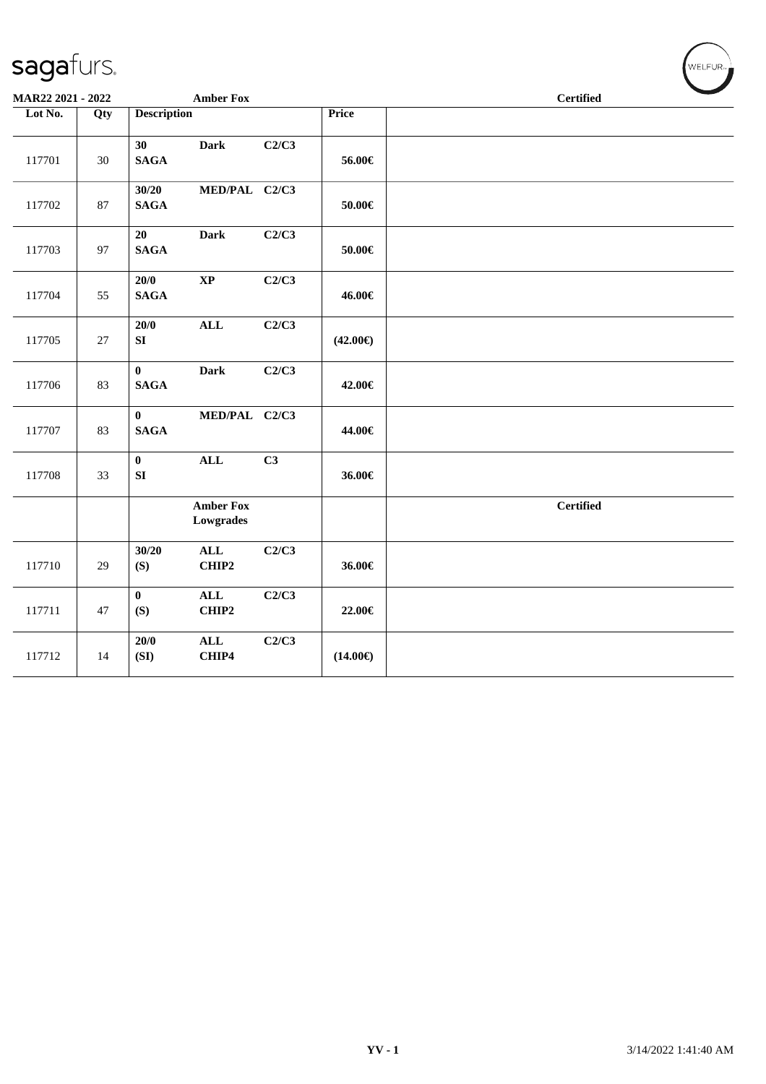| MAR22 2021 - 2022 |        |                         | <b>Amber Fox</b>              |       |                   | <b>Certified</b> |
|-------------------|--------|-------------------------|-------------------------------|-------|-------------------|------------------|
| Lot No.           | Qty    | <b>Description</b>      |                               |       | Price             |                  |
| 117701            | $30\,$ | 30<br><b>SAGA</b>       | <b>Dark</b>                   | C2/C3 | 56.00€            |                  |
| 117702            | 87     | 30/20<br><b>SAGA</b>    | MED/PAL C2/C3                 |       | $50.00\in$        |                  |
| 117703            | 97     | 20<br><b>SAGA</b>       | <b>Dark</b>                   | C2/C3 | 50.00€            |                  |
| 117704            | 55     | 20/0<br><b>SAGA</b>     | $\bold{XP}$                   | C2/C3 | 46.00€            |                  |
| 117705            | 27     | 20/0<br>SI              | $\mathbf{ALL}$                | C2/C3 | $(42.00\epsilon)$ |                  |
| 117706            | 83     | $\bf{0}$<br><b>SAGA</b> | <b>Dark</b>                   | C2/C3 | 42.00€            |                  |
| 117707            | 83     | $\bf{0}$<br><b>SAGA</b> | MED/PAL C2/C3                 |       | 44.00€            |                  |
| 117708            | 33     | $\bf{0}$<br>SI          | $\mathbf{ALL}$                | C3    | 36.00€            |                  |
|                   |        |                         | <b>Amber Fox</b><br>Lowgrades |       |                   | <b>Certified</b> |
| 117710            | 29     | 30/20<br>(S)            | $\mathbf{ALL}$<br>CHIP2       | C2/C3 | 36.00€            |                  |
| 117711            | 47     | $\bf{0}$<br>(S)         | $\mathbf{ALL}$<br>CHIP2       | C2/C3 | 22.00€            |                  |
| 117712            | 14     | 20/0<br>(SI)            | $\mathbf{ALL}$<br>CHIP4       | C2/C3 | $(14.00\epsilon)$ |                  |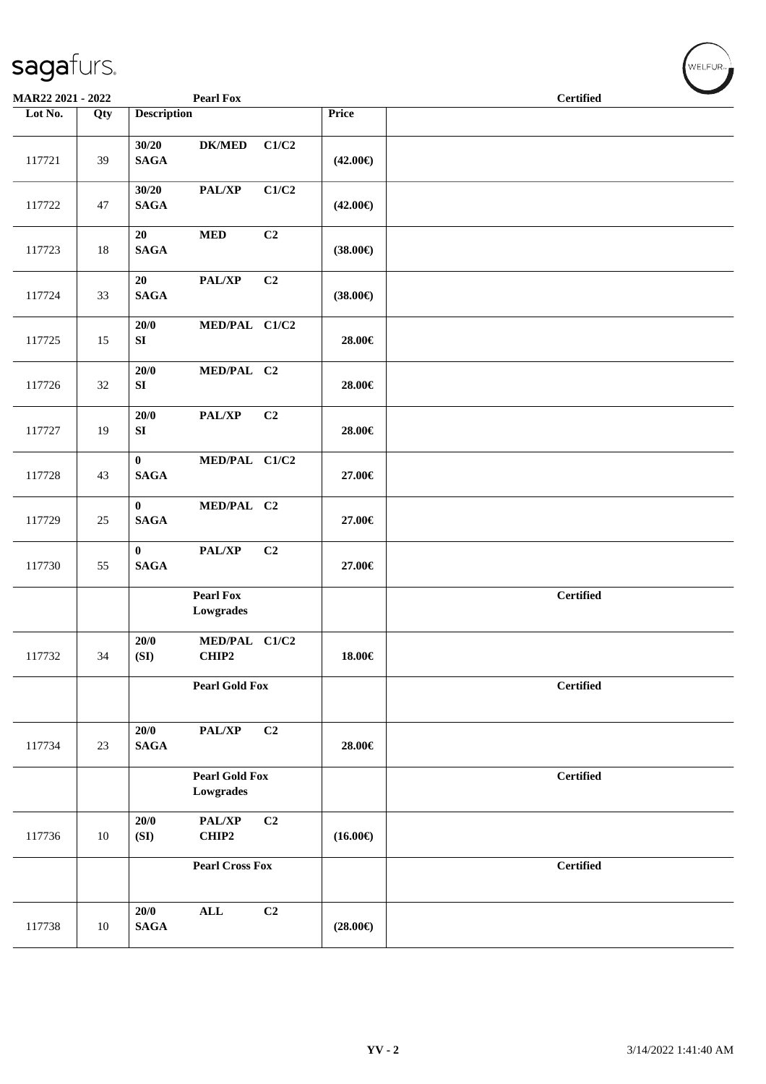| MAR22 2021 - 2022 |     |                             | <b>Pearl Fox</b>                   |                |                   | <b>Certified</b> |
|-------------------|-----|-----------------------------|------------------------------------|----------------|-------------------|------------------|
| Lot No.           | Qty | <b>Description</b>          |                                    |                | Price             |                  |
| 117721            | 39  | 30/20<br><b>SAGA</b>        | $DK/MED$                           | C1/C2          | $(42.00\epsilon)$ |                  |
| 117722            | 47  | 30/20<br>$\mathbf{SAGA}$    | PAL/XP                             | C1/C2          | $(42.00\epsilon)$ |                  |
| 117723            | 18  | 20<br>$\mathbf{SAGA}$       | <b>MED</b>                         | C <sub>2</sub> | $(38.00\epsilon)$ |                  |
| 117724            | 33  | 20<br>$\mathbf{SAGA}$       | PAL/XP                             | C2             | $(38.00\epsilon)$ |                  |
| 117725            | 15  | $20/0$<br>${\bf SI}$        | MED/PAL C1/C2                      |                | 28.00€            |                  |
| 117726            | 32  | 20/0<br>${\bf SI}$          | MED/PAL C2                         |                | 28.00€            |                  |
| 117727            | 19  | 20/0<br>${\bf SI}$          | PAL/XP                             | C2             | 28.00€            |                  |
| 117728            | 43  | $\bf{0}$<br><b>SAGA</b>     | MED/PAL C1/C2                      |                | 27.00€            |                  |
| 117729            | 25  | $\bf{0}$<br>$\mathbf{SAGA}$ | MED/PAL C2                         |                | 27.00€            |                  |
| 117730            | 55  | $\bf{0}$<br><b>SAGA</b>     | PAL/XP                             | C <sub>2</sub> | 27.00€            |                  |
|                   |     |                             | <b>Pearl Fox</b><br>Lowgrades      |                |                   | <b>Certified</b> |
| 117732            | 34  | 20/0<br>(SI)                | MED/PAL C1/C2<br>CHIP2             |                | 18.00€            |                  |
|                   |     |                             | <b>Pearl Gold Fox</b>              |                |                   | <b>Certified</b> |
| 117734            | 23  | 20/0<br><b>SAGA</b>         | PAL/XP                             | C2             | 28.00€            |                  |
|                   |     |                             | <b>Pearl Gold Fox</b><br>Lowgrades |                |                   | <b>Certified</b> |
| 117736            | 10  | 20/0<br>(SI)                | PAL/XP<br>CHIP2                    | C2             | $(16.00\epsilon)$ |                  |
|                   |     |                             | <b>Pearl Cross Fox</b>             |                |                   | <b>Certified</b> |
| 117738            | 10  | 20/0<br><b>SAGA</b>         | $\mathbf{ALL}$                     | C <sub>2</sub> | $(28.00\epsilon)$ |                  |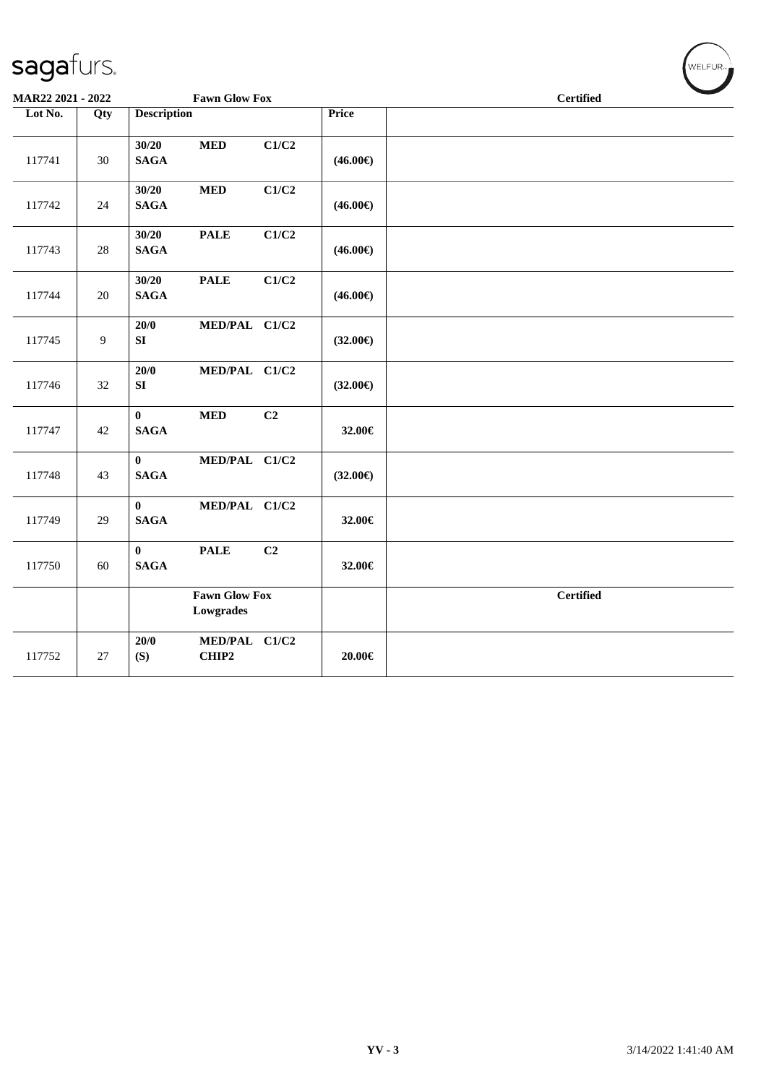| MAR22 2021 - 2022 |     | <b>Fawn Glow Fox</b>                         |                   | <b>Certified</b> |
|-------------------|-----|----------------------------------------------|-------------------|------------------|
| Lot No.           | Qty | <b>Description</b>                           | Price             |                  |
| 117741            | 30  | C1/C2<br>30/20<br><b>MED</b><br><b>SAGA</b>  | $(46.00\epsilon)$ |                  |
| 117742            | 24  | 30/20<br>C1/C2<br>$\bf MED$<br><b>SAGA</b>   | $(46.00\epsilon)$ |                  |
| 117743            | 28  | C1/C2<br>30/20<br><b>PALE</b><br><b>SAGA</b> | $(46.00\epsilon)$ |                  |
| 117744            | 20  | <b>PALE</b><br>C1/C2<br>30/20<br><b>SAGA</b> | $(46.00\epsilon)$ |                  |
| 117745            | 9   | 20/0<br>MED/PAL C1/C2<br>SI                  | $(32.00\epsilon)$ |                  |
| 117746            | 32  | 20/0<br>MED/PAL C1/C2<br>${\bf S}{\bf I}$    | $(32.00\epsilon)$ |                  |
| 117747            | 42  | C2<br><b>MED</b><br>$\bf{0}$<br><b>SAGA</b>  | 32.00€            |                  |
| 117748            | 43  | $\mathbf{0}$<br>MED/PAL C1/C2<br><b>SAGA</b> | $(32.00\epsilon)$ |                  |
| 117749            | 29  | MED/PAL C1/C2<br>$\bf{0}$<br><b>SAGA</b>     | 32.00€            |                  |
| 117750            | 60  | C2<br>$\bf{0}$<br><b>PALE</b><br><b>SAGA</b> | 32.00€            |                  |
|                   |     | <b>Fawn Glow Fox</b><br>Lowgrades            |                   | <b>Certified</b> |
| 117752            | 27  | 20/0<br>MED/PAL C1/C2<br>(S)<br>CHIP2        | 20.00€            |                  |

WELFUR<sub><sup>N</sup></sub>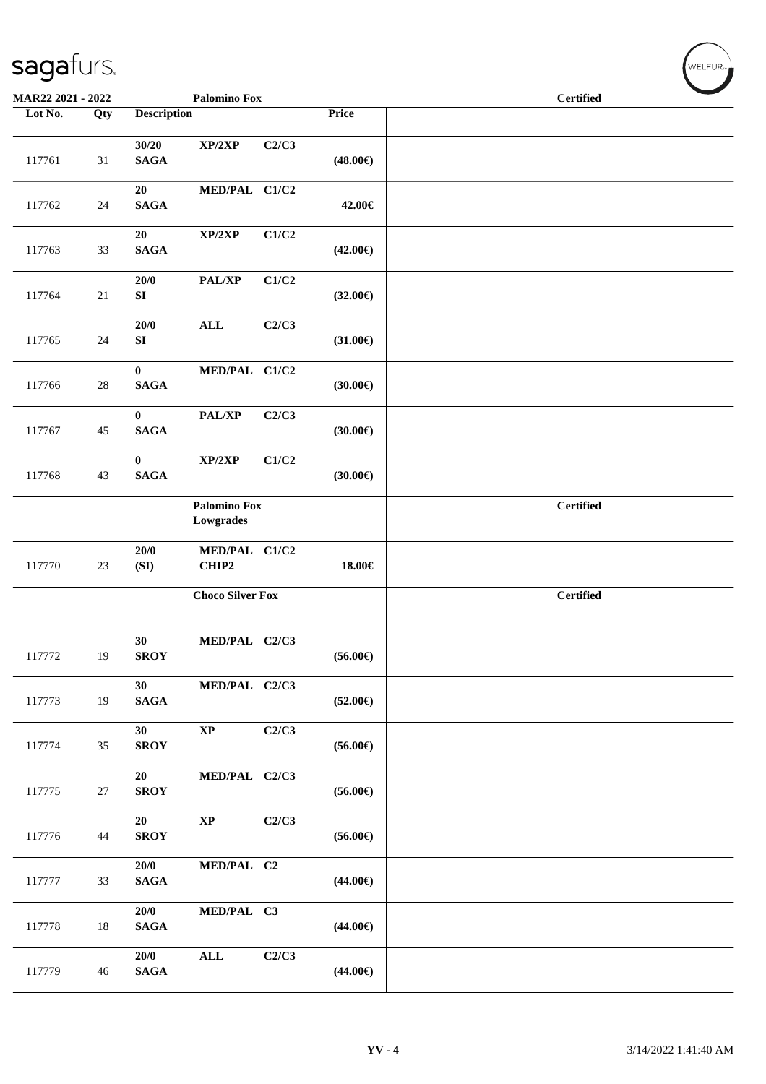| <b>MAR22 2021 - 2022</b> |        |                          | <b>Palomino Fox</b>              |       |                   | <b>Certified</b> |
|--------------------------|--------|--------------------------|----------------------------------|-------|-------------------|------------------|
| Lot No.                  | Qty    | <b>Description</b>       |                                  |       | Price             |                  |
| 117761                   | 31     | 30/20<br><b>SAGA</b>     | XP/2XP                           | C2/C3 | $(48.00\epsilon)$ |                  |
| 117762                   | 24     | $20\,$<br><b>SAGA</b>    | MED/PAL C1/C2                    |       | 42.00€            |                  |
| 117763                   | 33     | 20<br><b>SAGA</b>        | XP/2XP                           | C1/C2 | $(42.00\epsilon)$ |                  |
| 117764                   | $21\,$ | 20/0<br>${\bf S}{\bf I}$ | PAL/XP                           | C1/C2 | $(32.00\epsilon)$ |                  |
| 117765                   | 24     | 20/0<br>${\bf S}{\bf I}$ | <b>ALL</b>                       | C2/C3 | $(31.00\epsilon)$ |                  |
| 117766                   | 28     | $\bf{0}$<br><b>SAGA</b>  | MED/PAL C1/C2                    |       | (30.00)           |                  |
| 117767                   | 45     | $\bf{0}$<br><b>SAGA</b>  | PAL/XP                           | C2/C3 | (30.00)           |                  |
| 117768                   | 43     | $\bf{0}$<br><b>SAGA</b>  | XP/2XP                           | C1/C2 | (30.00)           |                  |
|                          |        |                          | <b>Palomino Fox</b><br>Lowgrades |       |                   | <b>Certified</b> |
| 117770                   | 23     | 20/0<br>(SI)             | MED/PAL C1/C2<br>CHIP2           |       | 18.00€            |                  |
|                          |        |                          | <b>Choco Silver Fox</b>          |       |                   | <b>Certified</b> |
| 117772                   | 19     | 30<br><b>SROY</b>        | MED/PAL C2/C3                    |       | $(56.00\epsilon)$ |                  |
| 117773                   | 19     | 30<br>$\mathbf{SAGA}$    | MED/PAL C2/C3                    |       | $(52.00\epsilon)$ |                  |
| 117774                   | 35     | 30<br><b>SROY</b>        | $\bold{XP}$                      | C2/C3 | $(56.00\epsilon)$ |                  |
| 117775                   | $27\,$ | $20\,$<br><b>SROY</b>    | MED/PAL C2/C3                    |       | $(56.00\epsilon)$ |                  |
| 117776                   | 44     | 20<br><b>SROY</b>        | $\bold{XP}$                      | C2/C3 | $(56.00\epsilon)$ |                  |
| 117777                   | 33     | 20/0<br>$\mathbf{SAGA}$  | MED/PAL C2                       |       | $(44.00\epsilon)$ |                  |
| 117778                   | $18\,$ | 20/0<br><b>SAGA</b>      | MED/PAL C3                       |       | $(44.00\epsilon)$ |                  |
| 117779                   | 46     | 20/0<br><b>SAGA</b>      | $\mathbf{ALL}$                   | C2/C3 | $(44.00\epsilon)$ |                  |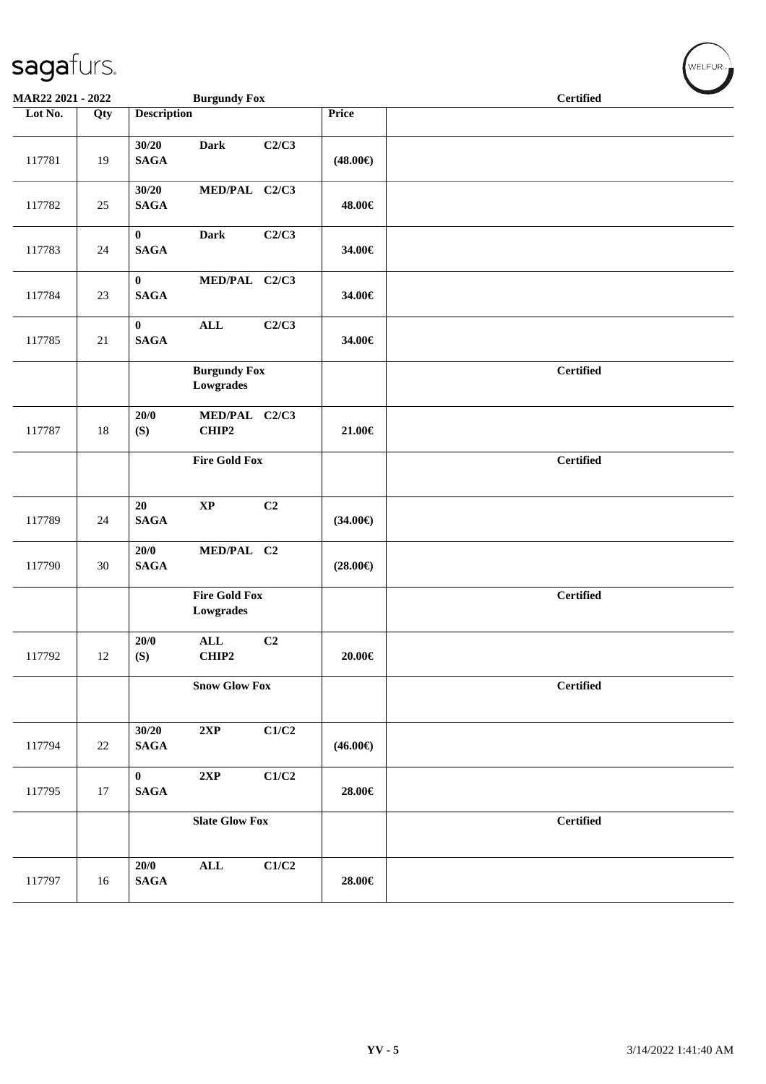| MAR22 2021 - 2022 |        |                         | <b>Burgundy Fox</b>               |       |                   | <b>Certified</b> |  |
|-------------------|--------|-------------------------|-----------------------------------|-------|-------------------|------------------|--|
| Lot No.           | Qty    | <b>Description</b>      |                                   |       | Price             |                  |  |
| 117781            | 19     | 30/20<br><b>SAGA</b>    | <b>Dark</b>                       | C2/C3 | $(48.00\epsilon)$ |                  |  |
| 117782            | 25     | 30/20<br><b>SAGA</b>    | MED/PAL C2/C3                     |       | 48.00€            |                  |  |
| 117783            | 24     | $\bf{0}$<br><b>SAGA</b> | <b>Dark</b>                       | C2/C3 | 34.00€            |                  |  |
| 117784            | 23     | $\bf{0}$<br><b>SAGA</b> | MED/PAL C2/C3                     |       | 34.00€            |                  |  |
| 117785            | $21\,$ | $\bf{0}$<br><b>SAGA</b> | ALL                               | C2/C3 | 34.00€            |                  |  |
|                   |        |                         | <b>Burgundy Fox</b><br>Lowgrades  |       |                   | <b>Certified</b> |  |
| 117787            | $18\,$ | 20/0<br>(S)             | MED/PAL C2/C3<br>CHIP2            |       | $21.00 \in$       |                  |  |
|                   |        |                         | <b>Fire Gold Fox</b>              |       |                   | <b>Certified</b> |  |
| 117789            | 24     | 20<br><b>SAGA</b>       | $\bold{XP}$                       | C2    | $(34.00\epsilon)$ |                  |  |
| 117790            | $30\,$ | 20/0<br><b>SAGA</b>     | MED/PAL C2                        |       | $(28.00\epsilon)$ |                  |  |
|                   |        |                         | <b>Fire Gold Fox</b><br>Lowgrades |       |                   | <b>Certified</b> |  |
| 117792            | 12     | 20/0<br>(S)             | $\mathbf{ALL}$<br>CHIP2           | C2    | $20.00 \in$       |                  |  |
|                   |        |                         | <b>Snow Glow Fox</b>              |       |                   | <b>Certified</b> |  |
| 117794            | 22     | 30/20<br><b>SAGA</b>    | 2XP                               | C1/C2 | $(46.00\epsilon)$ |                  |  |
| 117795            | 17     | $\bf{0}$<br><b>SAGA</b> | 2XP                               | C1/C2 | 28.00€            |                  |  |
|                   |        |                         | <b>Slate Glow Fox</b>             |       |                   | <b>Certified</b> |  |
| 117797            | 16     | 20/0<br>$\mathbf{SAGA}$ | $\mathbf{ALL}$                    | C1/C2 | 28.00€            |                  |  |